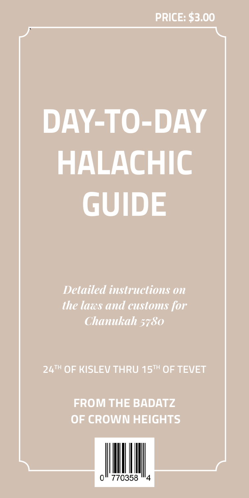# **Day-to-Day Halachic Guide**

`

*Detailed instructions on the laws and customs for Chanukah 5780*

**24th of Kislev thru 15th of Tevet**

**From the Badatz of Crown Heights**

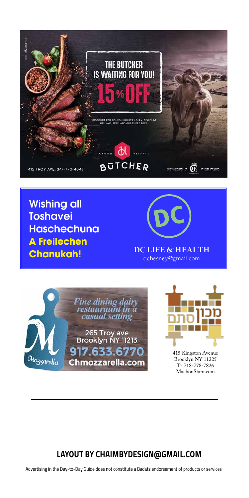

Wishing all **Toshavei Haschechuna A Freilechen Chanukah!**



**DC Life & Health** dchesney@gmail.com





415 Kingston Avenue Brooklyn NY 11225 T- 718-778-7826 MachonStam.com

#### **Layout by chaimbydesign@gmail.com**

Advertising in the Day-to-Day Guide does not constitute a Badatz endorsement of products or services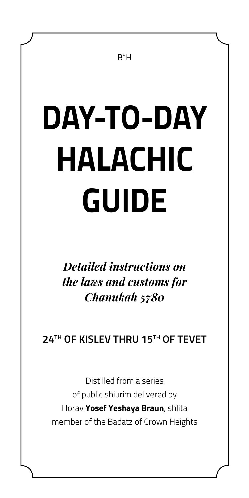#### B"H

# **Day-to-Day Halachic Guide**

*Detailed instructions on the laws and customs for Chanukah 5780*

**24th of Kislev thru 15th of Tevet**

Distilled from a series of public shiurim delivered by Horav **Yosef Yeshaya Braun**, shlita member of the Badatz of Crown Heights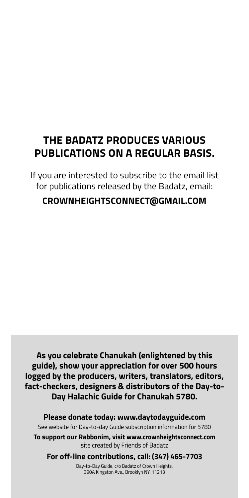## **The Badatz produces various publications on a regular basis.**

If you are interested to subscribe to the email list for publications released by the Badatz, email:

#### **crownheightsconnect@gmail.com**

**As you celebrate Chanukah (enlightened by this guide), show your appreciation for over 500 hours logged by the producers, writers, translators, editors, fact-checkers, designers & distributors of the Day-to-Day Halachic Guide for Chanukah 5780.** 

**Please donate today: www.daytodayguide.com** See website for Day-to-day Guide subscription information for 5780 **To support our Rabbonim, visit www.crownheightsconnect.com**  site created by Friends of Badatz **For off-line contributions, call: (347) 465-7703**

Day-to-Day Guide, c/o Badatz of Crown Heights, 390A Kingston Ave., Brooklyn NY, 11213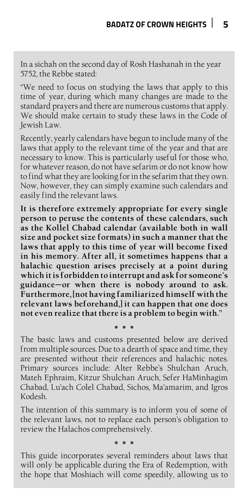In a sichah on the second day of Rosh Hashanah in the year 5752, the Rebbe stated:

"We need to focus on studying the laws that apply to this time of year, during which many changes are made to the standard prayers and there are numerous customs that apply. We should make certain to study these laws in the Code of Jewish Law.

Recently, yearly calendars have begun to include many of the laws that apply to the relevant time of the year and that are necessary to know. This is particularly useful for those who, for whatever reason, do not have sefarim or do not know how to find what they are looking for in the sefarim that they own. Now, however, they can simply examine such calendars and easily find the relevant laws.

**It is therefore extremely appropriate for every single person to peruse the contents of these calendars, such as the Kollel Chabad calendar (available both in wall size and pocket size formats) in such a manner that the laws that apply to this time of year will become fixed in his memory. After all, it sometimes happens that a halachic question arises precisely at a point during which it is forbidden to interrupt and ask for someone's guidance—or when there is nobody around to ask. Furthermore, [not having familiarized himself with the relevant laws beforehand,] it can happen that one does not even realize that there is a problem to begin with."**

The basic laws and customs presented below are derived from multiple sources. Due to a dearth of space and time, they are presented without their references and halachic notes. Primary sources include: Alter Rebbe's Shulchan Aruch, Mateh Ephraim, Kitzur Shulchan Aruch, Sefer HaMinhagim Chabad, Lu'ach Colel Chabad, Sichos, Ma'amarim, and Igros Kodesh.

**\* \* \***

The intention of this summary is to inform you of some of the relevant laws, not to replace each person's obligation to review the Halachos comprehensively.

**\* \* \***

This guide incorporates several reminders about laws that will only be applicable during the Era of Redemption, with the hope that Moshiach will come speedily, allowing us to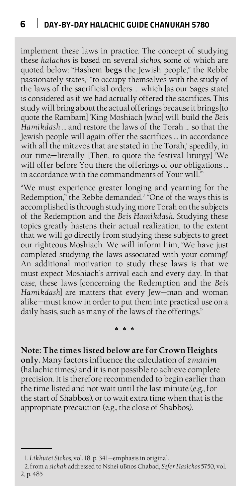implement these laws in practice. The concept of studying these *halachos* is based on several *sichos*, some of which are quoted below: "Hashem **begs** the Jewish people," the Rebbe passionately states,<sup>1</sup> "to occupy themselves with the study of the laws of the sacrificial orders … which [as our Sages state] is considered as if we had actually offered the sacrifices. This study will bring about the actual offerings because it brings [to quote the Rambam] 'King Moshiach [who] will build the *Beis Hamikdash* … and restore the laws of the Torah … so that the Jewish people will again offer the sacrifices … in accordance with all the mitzvos that are stated in the Torah,' speedily, in our time—literally! [Then, to quote the festival liturgy] 'We will offer before You there the offerings of our obligations ... in accordance with the commandments of Your will.'"

"We must experience greater longing and yearning for the Redemption," the Rebbe demanded.2 "One of the ways this is accomplished is through studying more Torah on the subjects of the Redemption and the *Beis Hamikdash*. Studying these topics greatly hastens their actual realization, to the extent that we will go directly from studying these subjects to greet our righteous Moshiach. We will inform him, 'We have just completed studying the laws associated with your coming!' An additional motivation to study these laws is that we must expect Moshiach's arrival each and every day. In that case, these laws [concerning the Redemption and the *Beis Hamikdash*] are matters that every Jew—man and woman alike—must know in order to put them into practical use on a daily basis, such as many of the laws of the offerings."

#### **Note: The times listed below are for Crown Heights**

**\* \* \***

**only.** Many factors influence the calculation of *zmanim*  (halachic times) and it is not possible to achieve complete precision. It is therefore recommended to begin earlier than the time listed and not wait until the last minute (e.g., for the start of Shabbos), or to wait extra time when that is the appropriate precaution (e.g., the close of Shabbos).

<sup>1.</sup> *Likkutei Sichos*, vol. 18, p. 341—emphasis in original.

<sup>2.</sup>from a *sichah* addressed to Nshei uBnos Chabad, *Sefer Hasichos* 5750, vol. 2, p. 485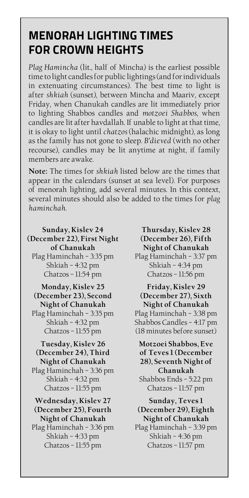#### **Badatz of Crown Heights 7 Menorah Lighting Times for Crown Heights**

*Plag Hamincha* (lit., half of Mincha) is the earliest possible time to light candles for public lightings (and for individuals in extenuating circumstances). The best time to light is after *shkiah* (sunset), between Mincha and Maariv, except Friday, when Chanukah candles are lit immediately prior to lighting Shabbos candles and *motzoei Shabbos*, when candles are lit after havdallah. If unable to light at that time, it is okay to light until *chatzos* (halachic midnight), as long as the family has not gone to sleep. *B'dieved* (with no other recourse), candles may be lit anytime at night, if family members are awake.

**Note:** The times for *shkiah* listed below are the times that appear in the calendars (sunset at sea level). For purposes of menorah lighting, add several minutes. In this context, several minutes should also be added to the times for *plag haminchah*.

**Sunday, Kislev 24 (December 22), First Night of Chanukah** Plag Haminchah – 3:35 pm Shkiah – 4:32 pm Chatzos – 11:54 pm **Monday, Kislev 25 (December 23), Second Night of Chanukah** Plag Haminchah – 3:35 pm

Shkiah – 4:32 pm Chatzos – 11:55 pm

#### **Tuesday, Kislev 26 (December 24), Third Night of Chanukah**

Plag Haminchah – 3:36 pm Shkiah – 4:32 pm Chatzos – 11:55 pm

#### **Wednesday, Kislev 27 (December 25), Fourth Night of Chanukah**

Plag Haminchah – 3:36 pm Shkiah – 4:33 pm Chatzos – 11:55 pm

**Thursday, Kislev 28 (December 26), Fifth Night of Chanukah** Plag Haminchah – 3:37 pm Shkiah – 4:34 pm Chatzos – 11:56 pm

**Friday, Kislev 29 (December 27), Sixth Night of Chanukah** Plag Haminchah – 3:38 pm Shabbos Candles – 4:17 pm (18 minutes before sunset)

**Motzoei Shabbos, Eve of Teves 1 (December 28), Seventh Night of Chanukah** Shabbos Ends – 5:22 pm Chatzos – 11:57 pm

**Sunday, Teves 1 (December 29), Eighth Night of Chanukah**

Plag Haminchah – 3:39 pm Shkiah – 4:36 pm Chatzos – 11:57 pm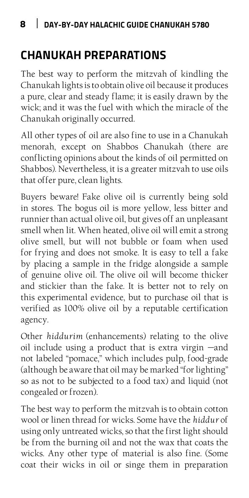## **Chanukah Preparations**

The best way to perform the mitzvah of kindling the Chanukah lights is to obtain olive oil because it produces a pure, clear and steady flame; it is easily drawn by the wick; and it was the fuel with which the miracle of the Chanukah originally occurred.

All other types of oil are also fine to use in a Chanukah menorah, except on Shabbos Chanukah (there are conflicting opinions about the kinds of oil permitted on Shabbos). Nevertheless, it is a greater mitzvah to use oils that offer pure, clean lights.

Buyers beware! Fake olive oil is currently being sold in stores. The bogus oil is more yellow, less bitter and runnier than actual olive oil, but gives off an unpleasant smell when lit. When heated, olive oil will emit a strong olive smell, but will not bubble or foam when used for frying and does not smoke. It is easy to tell a fake by placing a sample in the fridge alongside a sample of genuine olive oil. The olive oil will become thicker and stickier than the fake. It is better not to rely on this experimental evidence, but to purchase oil that is verified as 100% olive oil by a reputable certification agency.

Other *hiddurim* (enhancements) relating to the olive oil include using a product that is extra virgin —and not labeled "pomace," which includes pulp, food-grade (although be aware that oil may be marked "for lighting" so as not to be subjected to a food tax) and liquid (not congealed or frozen).

The best way to perform the mitzvah is to obtain cotton wool or linen thread for wicks. Some have the *hiddur* of using only untreated wicks, so that the first light should be from the burning oil and not the wax that coats the wicks. Any other type of material is also fine. (Some coat their wicks in oil or singe them in preparation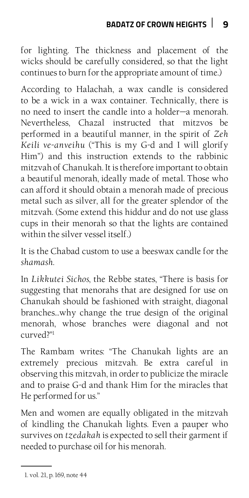for lighting. The thickness and placement of the wicks should be carefully considered, so that the light continues to burn for the appropriate amount of time.)

According to Halachah, a wax candle is considered to be a wick in a wax container. Technically, there is no need to insert the candle into a holder—a menorah. Nevertheless, Chazal instructed that mitzvos be performed in a beautiful manner, in the spirit of *Zeh Keili ve-anveihu* ("This is my G-d and I will glorify Him") and this instruction extends to the rabbinic mitzvah of Chanukah. It is therefore important to obtain a beautiful menorah, ideally made of metal. Those who can afford it should obtain a menorah made of precious metal such as silver, all for the greater splendor of the mitzvah. (Some extend this hiddur and do not use glass cups in their menorah so that the lights are contained within the silver vessel itself.)

It is the Chabad custom to use a beeswax candle for the *shamash*.

In *Likkutei Sichos*, the Rebbe states, "There is basis for suggesting that menorahs that are designed for use on Chanukah should be fashioned with straight, diagonal branches…why change the true design of the original menorah, whose branches were diagonal and not curved?"1

The Rambam writes: "The Chanukah lights are an extremely precious mitzvah. Be extra careful in observing this mitzvah, in order to publicize the miracle and to praise G-d and thank Him for the miracles that He performed for us."

Men and women are equally obligated in the mitzvah of kindling the Chanukah lights. Even a pauper who survives on *tzedakah* is expected to sell their garment if needed to purchase oil for his menorah.

<sup>1.</sup> vol. 21, p. 169, note 44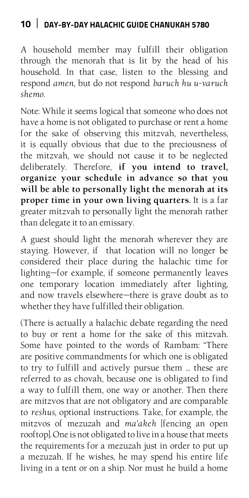A household member may fulfill their obligation through the menorah that is lit by the head of his household. In that case, listen to the blessing and respond *amen*, but do not respond *baruch hu u-varuch shemo*.

Note: While it seems logical that someone who does not have a home is not obligated to purchase or rent a home for the sake of observing this mitzvah, nevertheless, it is equally obvious that due to the preciousness of the mitzvah, we should not cause it to be neglected deliberately. Therefore, if you intend to travel, **organize your schedule in advance so that you will be able to personally light the menorah at its proper time in your own living quarters.** It is a far greater mitzvah to personally light the menorah rather than delegate it to an emissary.

A guest should light the menorah wherever they are staying. However, if that location will no longer be considered their place during the halachic time for lighting—for example, if someone permanently leaves one temporary location immediately after lighting, and now travels elsewhere—there is grave doubt as to whether they have fulfilled their obligation.

(There is actually a halachic debate regarding the need to buy or rent a home for the sake of this mitzvah. Some have pointed to the words of Rambam: "There are positive commandments for which one is obligated to try to fulfill and actively pursue them … these are referred to as chovah, because one is obligated to find a way to fulfill them, one way or another. Then there are mitzvos that are not obligatory and are comparable to *reshus*, optional instructions. Take, for example, the mitzvos of mezuzah and *ma'akeh* [fencing an open rooftop]. One is not obligated to live in a house that meets the requirements for a mezuzah just in order to put up a mezuzah. If he wishes, he may spend his entire life living in a tent or on a ship. Nor must he build a home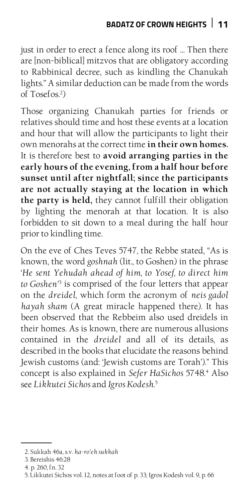just in order to erect a fence along its roof … Then there are [non-biblical] mitzvos that are obligatory according to Rabbinical decree, such as kindling the Chanukah lights." A similar deduction can be made from the words of Tosefos.2 )

Those organizing Chanukah parties for friends or relatives should time and host these events at a location and hour that will allow the participants to light their own menorahs at the correct time **in their own homes.**  It is therefore best to **avoid arranging parties in the early hours of the evening, from a half hour before sunset until after nightfall; since the participants are not actually staying at the location in which the party is held,** they cannot fulfill their obligation by lighting the menorah at that location. It is also forbidden to sit down to a meal during the half hour prior to kindling time.

On the eve of Ches Teves 5747, the Rebbe stated, "As is known, the word *goshnah* (lit., to Goshen) in the phrase '*He sent Yehudah ahead of him, to Yosef, to direct him to Goshen'*<sup>3</sup> is comprised of the four letters that appear on the *dreidel*, which form the acronym of *neis gadol hayah sham* (A great miracle happened there). It has been observed that the Rebbeim also used dreidels in their homes. As is known, there are numerous allusions contained in the *dreidel* and all of its details, as described in the books that elucidate the reasons behind Jewish customs (and: 'Jewish customs are Torah')." This concept is also explained in *Sefer HaSichos* 5748.4 Also see *Likkutei Sichos* and *Igros Kodesh*. 5

<sup>2.</sup> Sukkah 46a, s.v. *ha-ro'eh sukkah*

<sup>3.</sup> Bereishis 46:28

<sup>4.</sup> p. 260, fn. 32

<sup>5.</sup> Likkutei Sichos vol. 12, notes at foot of p. 33; Igros Kodesh vol. 9, p. 66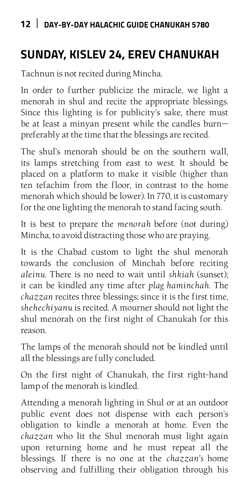# **Sunday, Kislev 24, Erev Chanukah**

Tachnun is not recited during Mincha.

In order to further publicize the miracle, we light a menorah in shul and recite the appropriate blessings. Since this lighting is for publicity's sake, there must be at least a minyan present while the candles burn preferably at the time that the blessings are recited.

The shul's menorah should be on the southern wall, its lamps stretching from east to west. It should be placed on a platform to make it visible (higher than ten tefachim from the floor, in contrast to the home menorah which should be lower). In 770, it is customary for the one lighting the menorah to stand facing south.

It is best to prepare the *menorah* before (not during) Mincha, to avoid distracting those who are praying.

It is the Chabad custom to light the shul menorah towards the conclusion of Minchah before reciting *aleinu*. There is no need to wait until *shkiah* (sunset); it can be kindled any time after *plag haminchah*. The *chazzan* recites three blessings; since it is the first time, *shehechiyanu* is recited. A mourner should not light the shul menorah on the first night of Chanukah for this reason.

The lamps of the menorah should not be kindled until all the blessings are fully concluded.

On the first night of Chanukah, the first right-hand lamp of the menorah is kindled.

Attending a menorah lighting in Shul or at an outdoor public event does not dispense with each person's obligation to kindle a menorah at home. Even the *chazzan* who lit the Shul menorah must light again upon returning home and he must repeat all the blessings. If there is no one at the *chazzan's* home observing and fulfilling their obligation through his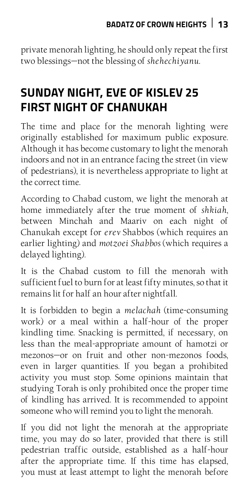private menorah lighting, he should only repeat the first two blessings—not the blessing of *shehechiyanu*.

# **Sunday Night, Eve of Kislev 25 First Night of Chanukah**

The time and place for the menorah lighting were originally established for maximum public exposure. Although it has become customary to light the menorah indoors and not in an entrance facing the street (in view of pedestrians), it is nevertheless appropriate to light at the correct time.

According to Chabad custom, we light the menorah at home immediately after the true moment of *shkiah*, between Minchah and Maariv on each night of Chanukah except for *erev* Shabbos (which requires an earlier lighting) and *motzoei Shabbos* (which requires a delayed lighting).

It is the Chabad custom to fill the menorah with sufficient fuel to burn for at least fifty minutes, so that it remains lit for half an hour after nightfall.

It is forbidden to begin a *melachah* (time-consuming work) or a meal within a half-hour of the proper kindling time. Snacking is permitted, if necessary, on less than the meal-appropriate amount of hamotzi or mezonos—or on fruit and other non-mezonos foods, even in larger quantities. If you began a prohibited activity you must stop. Some opinions maintain that studying Torah is only prohibited once the proper time of kindling has arrived. It is recommended to appoint someone who will remind you to light the menorah.

If you did not light the menorah at the appropriate time, you may do so later, provided that there is still pedestrian traffic outside, established as a half-hour after the appropriate time. If this time has elapsed, you must at least attempt to light the menorah before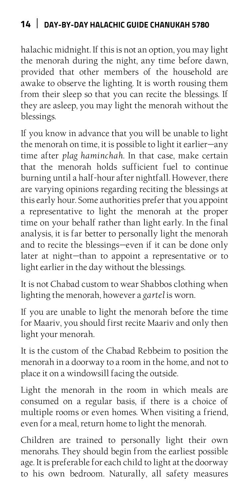halachic midnight. If this is not an option, you may light the menorah during the night, any time before dawn, provided that other members of the household are awake to observe the lighting. It is worth rousing them from their sleep so that you can recite the blessings. If they are asleep, you may light the menorah without the blessings.

If you know in advance that you will be unable to light the menorah on time, it is possible to light it earlier—any time after *plag haminchah*. In that case, make certain that the menorah holds sufficient fuel to continue burning until a half-hour after nightfall. However, there are varying opinions regarding reciting the blessings at this early hour. Some authorities prefer that you appoint a representative to light the menorah at the proper time on your behalf rather than light early. In the final analysis, it is far better to personally light the menorah and to recite the blessings—even if it can be done only later at night—than to appoint a representative or to light earlier in the day without the blessings.

It is not Chabad custom to wear Shabbos clothing when lighting the menorah, however a *gartel* is worn.

If you are unable to light the menorah before the time for Maariv, you should first recite Maariv and only then light your menorah.

It is the custom of the Chabad Rebbeim to position the menorah in a doorway to a room in the home, and not to place it on a windowsill facing the outside.

Light the menorah in the room in which meals are consumed on a regular basis, if there is a choice of multiple rooms or even homes. When visiting a friend, even for a meal, return home to light the menorah.

Children are trained to personally light their own menorahs. They should begin from the earliest possible age. It is preferable for each child to light at the doorway to his own bedroom. Naturally, all safety measures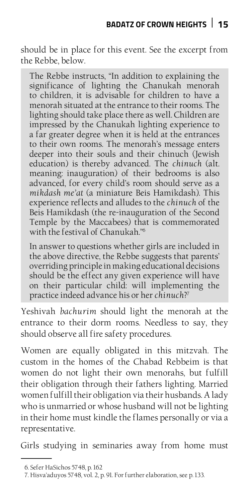should be in place for this event. See the excerpt from the Rebbe, below.

The Rebbe instructs, "In addition to explaining the significance of lighting the Chanukah menorah to children, it is advisable for children to have a menorah situated at the entrance to their rooms. The lighting should take place there as well. Children are impressed by the Chanukah lighting experience to a far greater degree when it is held at the entrances to their own rooms. The menorah's message enters deeper into their souls and their chinuch (Jewish education) is thereby advanced. The *chinuch* (alt. meaning: inauguration) of their bedrooms is also advanced, for every child's room should serve as a *mikdash me'at* (a miniature Beis Hamikdash). This experience reflects and alludes to the *chinuch* of the Beis Hamikdash (the re-inauguration of the Second Temple by the Maccabees) that is commemorated with the festival of Chanukah."6

In answer to questions whether girls are included in the above directive, the Rebbe suggests that parents' overriding principle in making educational decisions should be the effect any given experience will have on their particular child: will implementing the practice indeed advance his or her *chinuch*?7

Yeshivah *bachurim* should light the menorah at the entrance to their dorm rooms. Needless to say, they should observe all fire safety procedures.

Women are equally obligated in this mitzvah. The custom in the homes of the Chabad Rebbeim is that women do not light their own menorahs, but fulfill their obligation through their fathers lighting. Married women fulfill their obligation via their husbands. A lady who is unmarried or whose husband will not be lighting in their home must kindle the flames personally or via a representative.

Girls studying in seminaries away from home must

<sup>6.</sup> Sefer HaSichos 5748, p. 162

<sup>7.</sup> Hisva'aduyos 5748, vol. 2, p. 91. For further elaboration, see p. 133.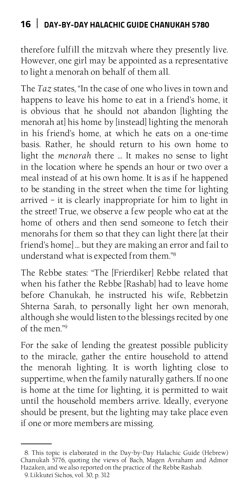therefore fulfill the mitzvah where they presently live. However, one girl may be appointed as a representative to light a menorah on behalf of them all.

The *Taz* states, "In the case of one who lives in town and happens to leave his home to eat in a friend's home, it is obvious that he should not abandon [lighting the menorah at] his home by [instead] lighting the menorah in his friend's home, at which he eats on a one-time basis. Rather, he should return to his own home to light the *menorah* there … It makes no sense to light in the location where he spends an hour or two over a meal instead of at his own home. It is as if he happened to be standing in the street when the time for lighting arrived – it is clearly inappropriate for him to light in the street! True, we observe a few people who eat at the home of others and then send someone to fetch their menorahs for them so that they can light there [at their friend's home] … but they are making an error and fail to understand what is expected from them."8

The Rebbe states: "The [Frierdiker] Rebbe related that when his father the Rebbe [Rashab] had to leave home before Chanukah, he instructed his wife, Rebbetzin Shterna Sarah, to personally light her own menorah, although she would listen to the blessings recited by one of the men."9

For the sake of lending the greatest possible publicity to the miracle, gather the entire household to attend the menorah lighting. It is worth lighting close to suppertime, when the family naturally gathers. If no one is home at the time for lighting, it is permitted to wait until the household members arrive. Ideally, everyone should be present, but the lighting may take place even if one or more members are missing.

<sup>8.</sup> This topic is elaborated in the Day-by-Day Halachic Guide (Hebrew) Chanukah 5776, quoting the views of Bach, Magen Avraham and Admor Hazaken, and we also reported on the practice of the Rebbe Rashab.

<sup>9.</sup> Likkutei Sichos, vol. 30, p. 312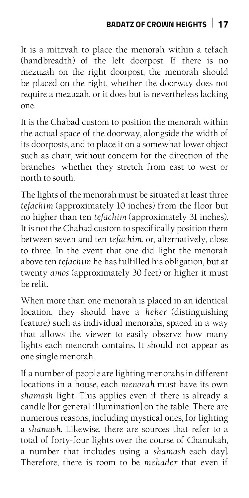## **Badatz of Crown Heights 17**

It is a mitzvah to place the menorah within a tefach (handbreadth) of the left doorpost. If there is no mezuzah on the right doorpost, the menorah should be placed on the right, whether the doorway does not require a mezuzah, or it does but is nevertheless lacking one.

It is the Chabad custom to position the menorah within the actual space of the doorway, alongside the width of its doorposts, and to place it on a somewhat lower object such as chair, without concern for the direction of the branches—whether they stretch from east to west or north to south.

The lights of the menorah must be situated at least three *tefachim* (approximately 10 inches) from the floor but no higher than ten *tefachim* (approximately 31 inches). It is not the Chabad custom to specifically position them between seven and ten *tefachim*, or, alternatively, close to three. In the event that one did light the menorah above ten *tefachim* he has fulfilled his obligation, but at twenty *amos* (approximately 30 feet) or higher it must be relit.

When more than one menorah is placed in an identical location, they should have a *heker* (distinguishing feature) such as individual menorahs, spaced in a way that allows the viewer to easily observe how many lights each menorah contains. It should not appear as one single menorah*.*

If a number of people are lighting menorahs in different locations in a house, each *menorah* must have its own *shamash* light. This applies even if there is already a candle [for general illumination] on the table. There are numerous reasons, including mystical ones, for lighting a *shamash*. Likewise, there are sources that refer to a total of forty-four lights over the course of Chanukah, a number that includes using a *shamash* each day]. Therefore, there is room to be *mehader* that even if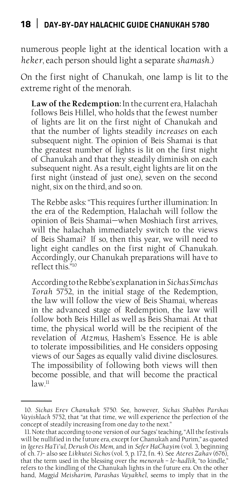numerous people light at the identical location with a *heker*, each person should light a separate *shamash*.)

On the first night of Chanukah, one lamp is lit to the extreme right of the menorah.

**Law of the Redemption:** In the current era, Halachah follows Beis Hillel, who holds that the fewest number of lights are lit on the first night of Chanukah and that the number of lights steadily *increases* on each subsequent night. The opinion of Beis Shamai is that the greatest number of lights is lit on the first night of Chanukah and that they steadily diminish on each subsequent night. As a result, eight lights are lit on the first night (instead of just one), seven on the second night, six on the third, and so on.

The Rebbe asks: "This requires further illumination: In the era of the Redemption, Halachah will follow the opinion of Beis Shamai—when Moshiach first arrives, will the halachah immediately switch to the views of Beis Shamai? If so, then this year, we will need to light eight candles on the first night of Chanukah. Accordingly, our Chanukah preparations will have to reflect this."10

According to the Rebbe's explanation in *Sichas Simchas Torah* 5752, in the initial stage of the Redemption, the law will follow the view of Beis Shamai, whereas in the advanced stage of Redemption, the law will follow both Beis Hillel as well as Beis Shamai. At that time, the physical world will be the recipient of the revelation of *Atzmus*, Hashem's Essence. He is able to tolerate impossibilities, and He considers opposing views of our Sages as equally valid divine disclosures. The impossibility of following both views will then become possible, and that will become the practical  $law<sup>11</sup>$ 

<sup>10.</sup> *Sichas Erev Chanukah* 5750. See, however, *Sichas Shabbos Parshas Vayishlach* 5752, that "at that time, we will experience the perfection of the concept of steadily increasing from one day to the next."

<sup>11.</sup> Note that according to one version of our Sages' teaching, "All the festivals will be nullified in the future era, except for Chanukah and Purim," as quoted in *Igeres HaTi'ul, Derush Ois Mem*, and in *Sefer HaChayim* (vol. 3, beginning of ch. 7)– also see *Likkutei Sichos* (vol. 5, p. 172, fn. 4). See *Ateres Zahav* (676), that the term used in the blessing over the *menorah – le-hadlik*, "to kindle," refers to the kindling of the Chanukah lights in the future era. On the other hand, *Maggid Meisharim, Parashas Vayakhel*, seems to imply that in the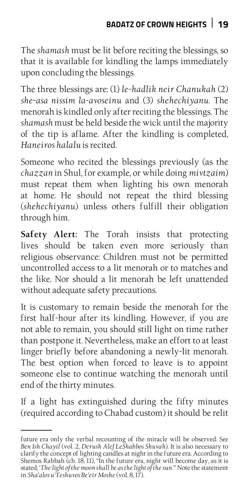The *shamash* must be lit before reciting the blessings, so that it is available for kindling the lamps immediately upon concluding the blessings.

The three blessings are: (1) *le-hadlik neir Chanukah* (2) *she-asa nissim la-avoseinu* and (3) *shehechiyanu*. The menorah is kindled only after reciting the blessings. The *shamash* must be held beside the wick until the majority of the tip is aflame. After the kindling is completed, *Haneiros halalu* is recited.

Someone who recited the blessings previously (as the *chazzan* in Shul, for example, or while doing *mivtzaim*) must repeat them when lighting his own menorah at home. He should not repeat the third blessing (*shehechiyanu*) unless others fulfill their obligation through him.

**Safety Alert:** The Torah insists that protecting lives should be taken even more seriously than religious observance: Children must not be permitted uncontrolled access to a lit menorah or to matches and the like. Nor should a lit menorah be left unattended without adequate safety precautions.

It is customary to remain beside the menorah for the first half-hour after its kindling. However, if you are not able to remain, you should still light on time rather than postpone it. Nevertheless, make an effort to at least linger briefly before abandoning a newly-lit menorah. The best option when forced to leave is to appoint someone else to continue watching the menorah until end of the thirty minutes.

If a light has extinguished during the fifty minutes (required according to Chabad custom) it should be relit

future era only the verbal recounting of the miracle will be observed. See *Ben Ish Chayil* (vol. 2, *Derush Alef LeShabbos Shuvah*). It is also necessary to clarify the concept of lighting candles at night in the future era. According to Shemos Rabbah (ch. 18, 11), "In the future era, night will become day, as it is stated, '*The light of the moon shall be as the light of the sun*.'" Note the statement in *Sha'alos u'Teshuvos Be'eir Moshe* (vol. 8, 17).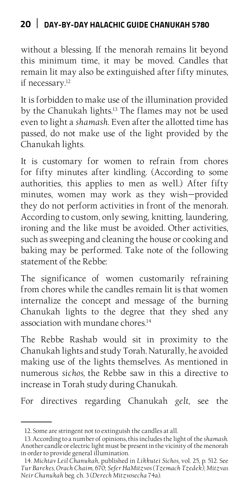without a blessing. If the menorah remains lit beyond this minimum time, it may be moved. Candles that remain lit may also be extinguished after fifty minutes, if necessary.<sup>12</sup>

It is forbidden to make use of the illumination provided by the Chanukah lights.13 The flames may not be used even to light a *shamash*. Even after the allotted time has passed, do not make use of the light provided by the Chanukah lights.

It is customary for women to refrain from chores for fifty minutes after kindling. (According to some authorities, this applies to men as well.) After fifty minutes, women may work as they wish—provided they do not perform activities in front of the menorah. According to custom, only sewing, knitting, laundering, ironing and the like must be avoided. Other activities, such as sweeping and cleaning the house or cooking and baking may be performed. Take note of the following statement of the Rebbe:

The significance of women customarily refraining from chores while the candles remain lit is that women internalize the concept and message of the burning Chanukah lights to the degree that they shed any association with mundane chores.<sup>14</sup>

The Rebbe Rashab would sit in proximity to the Chanukah lights and study Torah. Naturally, he avoided making use of the lights themselves. As mentioned in numerous *sichos,* the Rebbe saw in this a directive to increase in Torah study during Chanukah.

For directives regarding Chanukah *gelt*, see the

<sup>12.</sup> Some are stringent not to extinguish the candles at all.

<sup>13.</sup> According to a number of opinions, this includes the light of the *shamash*. Another candle or electric light must be present in the vicinity of the menorah in order to provide general illumination.

<sup>14.</sup> *Michtav Leil Chanukah*, published in *Likkutei Sichos,* vol. 25, p. 512. See *Tur Barekes, Orach Chaim,* 670; *Sefer HaMitzvos (Tzemach Tzedek), Mitzvas Neir Chanukah* beg. ch. 3 (*Derech Mitzvosecha* 74a).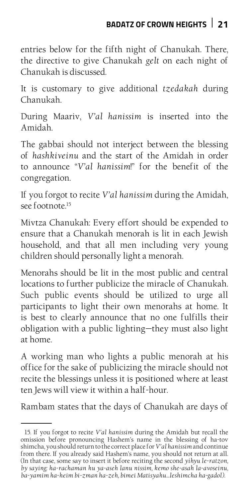entries below for the fifth night of Chanukah. There, the directive to give Chanukah *gelt* on each night of Chanukah is discussed.

It is customary to give additional *tzedakah* during Chanukah.

During Maariv, *V'al hanissim* is inserted into the Amidah.

The gabbai should not interject between the blessing of *hashkiveinu* and the start of the Amidah in order to announce "*V'al hanissim*!" for the benefit of the congregation.

If you forgot to recite *V'al hanissim* during the Amidah, see footnote.15

Mivtza Chanukah: Every effort should be expended to ensure that a Chanukah menorah is lit in each Jewish household, and that all men including very young children should personally light a menorah.

Menorahs should be lit in the most public and central locations to further publicize the miracle of Chanukah. Such public events should be utilized to urge all participants to light their own menorahs at home. It is best to clearly announce that no one fulfills their obligation with a public lighting—they must also light at home.

A working man who lights a public menorah at his office for the sake of publicizing the miracle should not recite the blessings unless it is positioned where at least ten Jews will view it within a half-hour.

Rambam states that the days of Chanukah are days of

<sup>15.</sup> If you forgot to recite *V'al hanissim* during the Amidah but recall the omission before pronouncing Hashem's name in the blessing of ha-tov shimcha, you should return to the correct place for *V'al hanissim* and continue from there. If you already said Hashem's name, you should not return at all. (In that case, some say to insert it before reciting the second *yihyu le-ratzon, by saying: ha-rachaman hu ya-aseh lanu nissim, kemo she-asah la-avoseinu, ba-yamim ha-heim bi-zman ha-zeh, bimei Matisyahu…leshimcha ha-gadol).*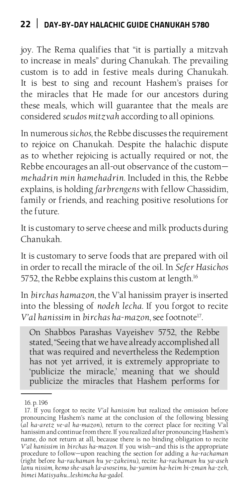joy. The Rema qualifies that "it is partially a mitzvah to increase in meals" during Chanukah. The prevailing custom is to add in festive meals during Chanukah. It is best to sing and recount Hashem's praises for the miracles that He made for our ancestors during these meals, which will guarantee that the meals are considered *seudos mitzvah* according to all opinions.

In numerous *sichos*, the Rebbe discusses the requirement to rejoice on Chanukah. Despite the halachic dispute as to whether rejoicing is actually required or not, the Rebbe encourages an all-out observance of the custom *mehadrin min hamehadrin*. Included in this, the Rebbe explains, is holding *farbrengens* with fellow Chassidim, family or friends, and reaching positive resolutions for the future.

It is customary to serve cheese and milk products during Chanukah.

It is customary to serve foods that are prepared with oil in order to recall the miracle of the oil. In *Sefer Hasichos* 5752, the Rebbe explains this custom at length.<sup>16</sup>

In *birchas hamazon*, the V'al hanissim prayer is inserted into the blessing of *nodeh lecha*. If you forgot to recite *V'al hanissim* in *birchas ha-mazon*, see footnote17.

On Shabbos Parashas Vayeishev 5752, the Rebbe stated, "Seeing that we have already accomplished all that was required and nevertheless the Redemption has not yet arrived, it is extremely appropriate to 'publicize the miracle,' meaning that we should publicize the miracles that Hashem performs for

<sup>16.</sup> p. 196

<sup>17.</sup> If you forgot to recite *V'al hanissim* but realized the omission before pronouncing Hashem's name at the conclusion of the following blessing (*al ha-aretz ve-al ha-mazon*), return to the correct place for reciting V'al hanissim and continue from there. If you realized after pronouncing Hashem's name, do not return at all, because there is no binding obligation to recite *V'al hanissim* in *birchas ha-mazon*. If you wish—and this is the appropriate procedure to follow—upon reaching the section for adding a *ha-rachaman* (right before *ha-rachaman hu ye-zakeinu*), recite: *ha-rachaman hu ya-aseh lanu nissim, kemo she-asah la-avoseinu, ba-yamim ha-heim bi-zman ha-zeh, bimei Matisyahu…leshimcha ha-gadol*.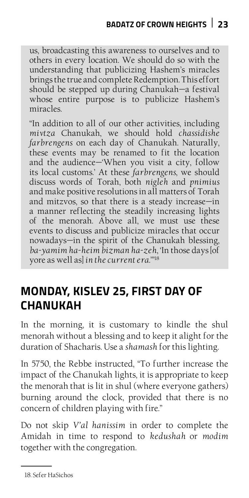us, broadcasting this awareness to ourselves and to others in every location. We should do so with the understanding that publicizing Hashem's miracles brings the true and complete Redemption. This effort should be stepped up during Chanukah—a festival whose entire purpose is to publicize Hashem's miracles.

"In addition to all of our other activities, including *mivtza* Chanukah, we should hold *chassidishe farbrengens* on each day of Chanukah. Naturally, these events may be renamed to fit the location and the audience—'When you visit a city, follow its local customs.' At these *farbrengens*, we should discuss words of Torah, both *nigleh* and *pnimius* and make positive resolutions in all matters of Torah and mitzvos, so that there is a steady increase—in a manner reflecting the steadily increasing lights of the menorah. Above all, we must use these events to discuss and publicize miracles that occur nowadays—in the spirit of the Chanukah blessing, *ba-yamim ha-heim bizman ha-zeh*, 'In those days [of yore as well as] *in the current era*.'"18

## **Monday, Kislev 25, First Day of Chanukah**

In the morning, it is customary to kindle the shul menorah without a blessing and to keep it alight for the duration of Shacharis. Use a *shamash* for this lighting.

In 5750, the Rebbe instructed, "To further increase the impact of the Chanukah lights, it is appropriate to keep the menorah that is lit in shul (where everyone gathers) burning around the clock, provided that there is no concern of children playing with fire."

Do not skip *V'al hanissim* in order to complete the Amidah in time to respond to *kedushah* or *modim* together with the congregation.

<sup>18.</sup> Sefer HaSichos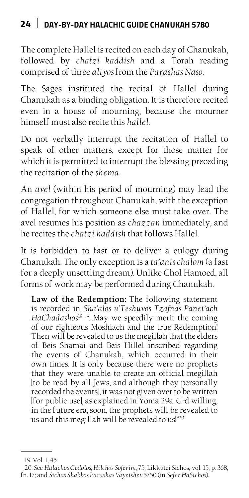The complete Hallel is recited on each day of Chanukah, followed by *chatzi kaddish* and a Torah reading comprised of three *aliyos* from the *Parashas Naso*.

The Sages instituted the recital of Hallel during Chanukah as a binding obligation. It is therefore recited even in a house of mourning, because the mourner himself must also recite this *hallel*.

Do not verbally interrupt the recitation of Hallel to speak of other matters, except for those matter for which it is permitted to interrupt the blessing preceding the recitation of the *shema*.

An *avel* (within his period of mourning) may lead the congregation throughout Chanukah, with the exception of Hallel, for which someone else must take over. The avel resumes his position as *chazzan* immediately, and he recites the *chatzi kaddish* that follows Hallel.

It is forbidden to fast or to deliver a eulogy during Chanukah. The only exception is a *ta'anis chalom* (a fast for a deeply unsettling dream). Unlike Chol Hamoed, all forms of work may be performed during Chanukah.

**Law of the Redemption:** The following statement is recorded in *Sha'alos u'Teshuvos Tzafnas Panei'ach HaChadashos*19: "…May we speedily merit the coming of our righteous Moshiach and the true Redemption! Then will be revealed to us the megillah that the elders of Beis Shamai and Beis Hillel inscribed regarding the events of Chanukah, which occurred in their own times. It is only because there were no prophets that they were unable to create an official megillah [to be read by all Jews, and although they personally recorded the events], it was not given over to be written [for public use], as explained in Yoma 29a. G-d willing, in the future era, soon, the prophets will be revealed to us and this megillah will be revealed to us!"20

<sup>19.</sup> Vol. 1, 45

<sup>20.</sup> See *Halachos Gedolos, Hilchos Soferim*, 75; Likkutei Sichos, vol. 15, p. 368, fn. 17; and *Sichas Shabbos Parashas Vayeishev* 5750 (in *Sefer HaSichos*).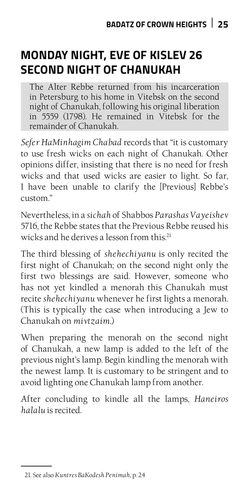## **Monday Night, Eve of Kislev 26 Second Night of Chanukah**

The Alter Rebbe returned from his incarceration in Petersburg to his home in Vitebsk on the second night of Chanukah, following his original liberation in 5559 (1798). He remained in Vitebsk for the remainder of Chanukah.

*Sefer HaMinhagim Chabad* records that "it is customary to use fresh wicks on each night of Chanukah. Other opinions differ, insisting that there is no need for fresh wicks and that used wicks are easier to light. So far, I have been unable to clarify the [Previous] Rebbe's custom."

Nevertheless, in a *sichah* of Shabbos *Parashas Vayeishev* 5716, the Rebbe states that the Previous Rebbe reused his wicks and he derives a lesson from this<sup>21</sup>

The third blessing of *shehechiyanu* is only recited the first night of Chanukah; on the second night only the first two blessings are said. However, someone who has not yet kindled a menorah this Chanukah must recite *shehechiyanu* whenever he first lights a menorah. (This is typically the case when introducing a Jew to Chanukah on *mivtzaim*.)

When preparing the menorah on the second night of Chanukah, a new lamp is added to the left of the previous night's lamp. Begin kindling the menorah with the newest lamp. It is customary to be stringent and to avoid lighting one Chanukah lamp from another.

After concluding to kindle all the lamps, *Haneiros halalu* is recited.

<sup>21.</sup> See also *Kuntres BaKodesh Penimah*, p. 24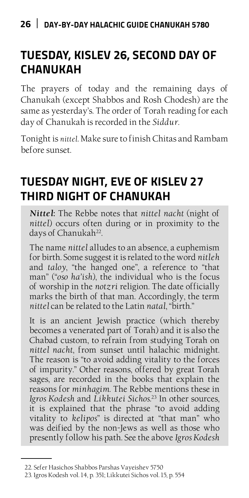# **Tuesday, Kislev 26, Second Day of Chanukah**

The prayers of today and the remaining days of Chanukah (except Shabbos and Rosh Chodesh) are the same as yesterday's. The order of Torah reading for each day of Chanukah is recorded in the *Siddur*.

Tonight is *nittel*. Make sure to finish Chitas and Rambam before sunset.

## **Tuesday Night, Eve of Kislev 27 Third Night of Chanukah**

*Nittel***:** The Rebbe notes that *nittel nacht* (night of *nittel*) occurs often during or in proximity to the days of Chanukah<sup>22</sup>.

The name *nittel* alludes to an absence, a euphemism for birth. Some suggest it is related to the word *nitleh*  and *taloy*, "the hanged one", a reference to "that man" ("*oso ha'ish*), the individual who is the focus of worship in the *notzri* religion. The date officially marks the birth of that man. Accordingly, the term *nittel* can be related to the Latin *natal*, "birth."

It is an ancient Jewish practice (which thereby becomes a venerated part of Torah) and it is also the Chabad custom, to refrain from studying Torah on *nittel nacht*, from sunset until halachic midnight. The reason is "to avoid adding vitality to the forces of impurity." Other reasons, offered by great Torah sages, are recorded in the books that explain the reasons for *minhagim*. The Rebbe mentions these in *Igros Kodesh* and *Likkutei Sichos*. 23 In other sources, it is explained that the phrase "to avoid adding vitality to *kelipos*" is directed at "that man" who was deified by the non-Jews as well as those who presently follow his path. See the above *Igros Kodesh*

<sup>22.</sup> Sefer Hasichos Shabbos Parshas Vayeishev 5750

<sup>23.</sup> Igros Kodesh vol. 14, p. 351; Likkutei Sichos vol. 15, p. 554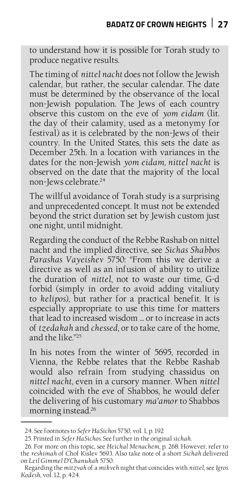to understand how it is possible for Torah study to produce negative results.

The timing of *nittel nacht* does not follow the Jewish calendar, but rather, the secular calendar. The date must be determined by the observance of the local non-Jewish population. The Jews of each country observe this custom on the eve of *yom eidam* (lit. the day of their calamity, used as a metonymy for festival) as it is celebrated by the non-Jews of their country. In the United States, this sets the date as December 25th. In a location with variances in the dates for the non-Jewish *yom eidam, nittel nacht* is observed on the date that the majority of the local non-Jews celebrate.24

The willful avoidance of Torah study is a surprising and unprecedented concept. It must not be extended beyond the strict duration set by Jewish custom just one night, until midnight.

Regarding the conduct of the Rebbe Rashab on nittel nacht and the implied directive, see *Sichas Shabbos Parashas Vayeishev* 5750: "From this we derive a directive as well as an infusion of ability to utilize the duration of *nittel*, not to waste our time, G-d forbid (simply in order to avoid adding vitaliuty to *kelipos*), but rather for a practical benefit. It is especially appropriate to use this time for matters that lead to increased wisdom … or to increase in acts of *tzedakah* and *chessed*, or to take care of the home, and the like."25

In his notes from the winter of 5695, recorded in Vienna, the Rebbe relates that the Rebbe Rashab would also refrain from studying chassidus on *nittel nacht*, even in a cursory manner. When *nittel* coincided with the eve of Shabbos, he would defer the delivering of his customary *ma'amor* to Shabbos morning instead.26

<sup>24.</sup> See footnotes to *Sefer HaSichos* 5750, vol. 1, p. 192

<sup>25.</sup> Printed in *Sefer HaSichos.* See further in the original *sichah*.

<sup>26.</sup> For more on this topic, see *Heichal Menachem*, p. 268. However, refer to the *reshimah* of Chof Kislev 5693. Also take note of a short *Sichah* delivered on *Leil Gimmel D'Chanukah* 5750.

Regarding the *mitzvah* of a *mikveh* night that coincides with *nittel*, see *Igros Kodesh*, vol. 12, p. 424.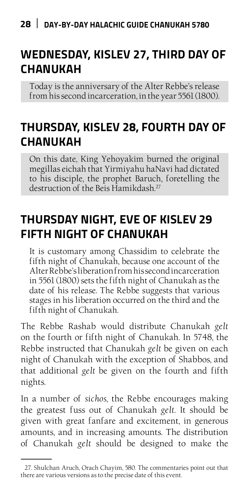## **Wednesday, Kislev 27, Third Day of Chanukah**

Today is the anniversary of the Alter Rebbe's release from his second incarceration, in the year 5561 (1800).

## **Thursday, Kislev 28, Fourth Day of Chanukah**

On this date, King Yehoyakim burned the original megillas eichah that Yirmiyahu haNavi had dictated to his disciple, the prophet Baruch, foretelling the destruction of the Beis Hamikdash.<sup>27</sup>

## **Thursday Night, Eve of Kislev 29 Fifth Night of Chanukah**

It is customary among Chassidim to celebrate the fifth night of Chanukah, because one account of the Alter Rebbe's liberation from his second incarceration in 5561 (1800) sets the fifth night of Chanukah as the date of his release. The Rebbe suggests that various stages in his liberation occurred on the third and the fifth night of Chanukah.

The Rebbe Rashab would distribute Chanukah *gelt*  on the fourth or fifth night of Chanukah. In 5748, the Rebbe instructed that Chanukah *gelt* be given on each night of Chanukah with the exception of Shabbos, and that additional *gelt* be given on the fourth and fifth nights.

In a number of *sichos*, the Rebbe encourages making the greatest fuss out of Chanukah *gelt*. It should be given with great fanfare and excitement, in generous amounts, and in increasing amounts. The distribution of Chanukah *gelt* should be designed to make the

<sup>27.</sup> Shulchan Aruch, Orach Chayim, 580. The commentaries point out that there are various versions as to the precise date of this event.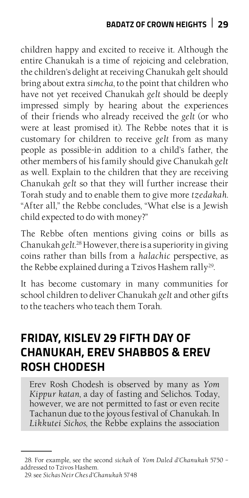children happy and excited to receive it. Although the entire Chanukah is a time of rejoicing and celebration, the children's delight at receiving Chanukah gelt should bring about extra *simcha*, to the point that children who have not yet received Chanukah *gelt* should be deeply impressed simply by hearing about the experiences of their friends who already received the *gelt* (or who were at least promised it). The Rebbe notes that it is customary for children to receive *gelt* from as many people as possible-in addition to a child's father, the other members of his family should give Chanukah *gelt* as well. Explain to the children that they are receiving Chanukah *gelt* so that they will further increase their Torah study and to enable them to give more *tzedakah*. "After all," the Rebbe concludes, "What else is a Jewish child expected to do with money?"

The Rebbe often mentions giving coins or bills as Chanukah *gelt*. 28 However, there is a superiority in giving coins rather than bills from a *halachic* perspective, as the Rebbe explained during a Tzivos Hashem rally<sup>29</sup>.

It has become customary in many communities for school children to deliver Chanukah *gelt* and other gifts to the teachers who teach them Torah.

## **Friday, Kislev 29 Fifth Day of Chanukah, Erev Shabbos & Erev Rosh Chodesh**

Erev Rosh Chodesh is observed by many as *Yom Kippur katan*, a day of fasting and Selichos. Today, however, we are not permitted to fast or even recite Tachanun due to the joyous festival of Chanukah. In *Likkutei Sichos*, the Rebbe explains the association

<sup>28.</sup> For example, see the second *sichah* of *Yom Daled d'Chanukah* 5750 – addressed to Tzivos Hashem.

<sup>29.</sup> see *Sichas Neir Ches d'Chanukah* 5748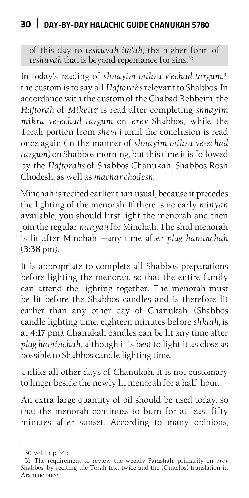of this day to *teshuvah ila'ah*, the higher form of *teshuvah* that is beyond repentance for sins.30

In today's reading of *shnayim mikra v'echad targum*, 31 the custom is to say all *Haftorahs* relevant to Shabbos. In accordance with the custom of the Chabad Rebbeim, the *Haftorah* of *Mikeitz* is read after completing *shnayim mikra ve-echad targum* on *erev* Shabbos, while the Torah portion from *shevi'i* until the conclusion is read once again (in the manner of *shnayim mikra ve-echad targum*) on Shabbos morning, but this time it is followed by the *Haftorahs* of Shabbos Chanukah, Shabbos Rosh Chodesh, as well as *machar chodesh*.

Minchah is recited earlier than usual, because it precedes the lighting of the menorah. If there is no early *minyan*  available, you should first light the menorah and then join the regular *minyan* for Minchah. The shul menorah is lit after Minchah —any time after *plag haminchah* (**3:38** pm).

It is appropriate to complete all Shabbos preparations before lighting the menorah, so that the entire family can attend the lighting together. The menorah must be lit before the Shabbos candles and is therefore lit earlier than any other day of Chanukah. (Shabbos candle lighting time, eighteen minutes before *shkiah,* is at **4:17** pm). Chanukah candles can be lit any time after *plag haminchah*, although it is best to light it as close as possible to Shabbos candle lighting time.

Unlike all other days of Chanukah, it is not customary to linger beside the newly lit menorah for a half-hour.

An extra-large quantity of oil should be used today, so that the menorah continues to burn for at least fifty minutes after sunset. According to many opinions,

<sup>30.</sup> vol. 15, p. 545

<sup>31.</sup> The requirement to review the weekly Parashah, primarily on *erev*  Shabbos, by reciting the Torah text twice and the (Onkelos) translation in Aramaic once.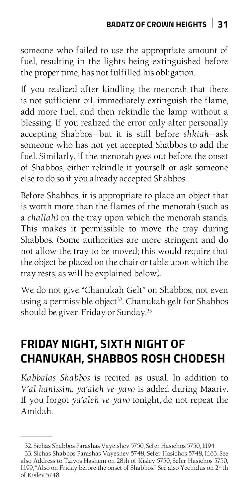someone who failed to use the appropriate amount of fuel, resulting in the lights being extinguished before the proper time, has not fulfilled his obligation.

If you realized after kindling the menorah that there is not sufficient oil, immediately extinguish the flame, add more fuel, and then rekindle the lamp without a blessing. If you realized the error only after personally accepting Shabbos—but it is still before *shkiah*—ask someone who has not yet accepted Shabbos to add the fuel. Similarly, if the menorah goes out before the onset of Shabbos, either rekindle it yourself or ask someone else to do so if you already accepted Shabbos.

Before Shabbos, it is appropriate to place an object that is worth more than the flames of the menorah (such as a *challah*) on the tray upon which the menorah stands. This makes it permissible to move the tray during Shabbos. (Some authorities are more stringent and do not allow the tray to be moved; this would require that the object be placed on the chair or table upon which the tray rests, as will be explained below).

We do not give "Chanukah Gelt" on Shabbos; not even using a permissible object<sup>32</sup>. Chanukah gelt for Shabbos should be given Friday or Sunday.<sup>33</sup>

## **Friday Night, Sixth Night of Chanukah, Shabbos Rosh Chodesh**

*Kabbalas Shabbos* is recited as usual. In addition to *V'al hanissim*, *ya'aleh ve-yavo* is added during Maariv. If you forgot *ya'aleh ve-yavo* tonight*,* do not repeat the Amidah.

<sup>32.</sup> Sichas Shabbos Parashas Vayeishev 5750, Sefer Hasichos 5750, I:194

<sup>33.</sup> Sichas Shabbos Parashas Vayeshev 5748, Sefer Hasichos 5748, I:163. See also Address to Tzivos Hashem on 28th of Kislev 5750, Sefer Hasichos 5750, I:199, "Also on Friday before the onset of Shabbos." See also Yechidus on 24th of Kislev 5748.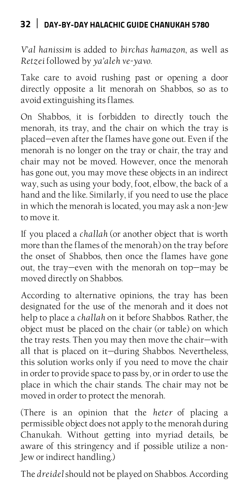*V*'*al hanissim* is added to *birchas hamazon*, as well as *Retzei* followed by *ya'aleh ve-yavo*.

Take care to avoid rushing past or opening a door directly opposite a lit menorah on Shabbos, so as to avoid extinguishing its flames.

On Shabbos, it is forbidden to directly touch the menorah, its tray, and the chair on which the tray is placed—even after the flames have gone out. Even if the menorah is no longer on the tray or chair, the tray and chair may not be moved. However, once the menorah has gone out, you may move these objects in an indirect way, such as using your body, foot, elbow, the back of a hand and the like. Similarly, if you need to use the place in which the menorah is located, you may ask a non-Jew to move it.

If you placed a *challah* (or another object that is worth more than the flames of the menorah) on the tray before the onset of Shabbos, then once the flames have gone out, the tray—even with the menorah on top—may be moved directly on Shabbos.

According to alternative opinions, the tray has been designated for the use of the menorah and it does not help to place a *challah* on it before Shabbos. Rather, the object must be placed on the chair (or table) on which the tray rests. Then you may then move the chair—with all that is placed on it—during Shabbos. Nevertheless, this solution works only if you need to move the chair in order to provide space to pass by, or in order to use the place in which the chair stands. The chair may not be moved in order to protect the menorah.

(There is an opinion that the *heter* of placing a permissible object does not apply to the menorah during Chanukah. Without getting into myriad details, be aware of this stringency and if possible utilize a non-Jew or indirect handling.)

The *dreidel* should not be played on Shabbos. According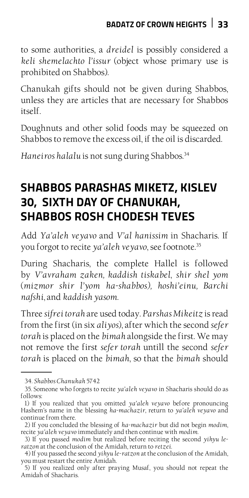to some authorities, a *dreidel* is possibly considered a *keli shemelachto l'issur* (object whose primary use is prohibited on Shabbos).

Chanukah gifts should not be given during Shabbos, unless they are articles that are necessary for Shabbos itself.

Doughnuts and other solid foods may be squeezed on Shabbos to remove the excess oil, if the oil is discarded.

Haneiros halalu is not sung during Shabbos.<sup>34</sup>

## **Shabbos Parashas Miketz, Kislev 30, Sixth Day of Chanukah, Shabbos Rosh Chodesh Teves**

Add *Ya'aleh veyavo* and *V'al hanissim* in Shacharis. If you forgot to recite *ya'aleh veyavo*, see footnote.35

During Shacharis, the complete Hallel is followed by *V'avraham zaken, kaddish tiskabel*, *shir shel yom*  (*mizmor shir l'yom ha-shabbos), hoshi'einu, Barchi nafshi*, and *kaddish yasom*.

Three *sifrei torah* are used today. *Parshas Mikeitz* is read from the first (in six *aliyos*), after which the second *sefer torah* is placed on the *bimah* alongside the first. We may not remove the first *sefer torah* untill the second *sefer torah* is placed on the *bimah*, so that the *bimah* should

<sup>34.</sup> *Shabbos Chanukah* 5742

<sup>35.</sup> Someone who forgets to recite *ya'aleh veyavo* in Shacharis should do as follows:

<sup>1)</sup> If you realized that you omitted *ya'aleh veyavo* before pronouncing Hashem's name in the blessing *ha-machazir*, return to *ya'aleh veyavo* and continue from there.

<sup>2)</sup> If you concluded the blessing of *ha-machazir* but did not begin *modim*, recite *ya'aleh veyavo* immediately and then continue with *modim*.

<sup>3)</sup> If you passed *modim* but realized before reciting the second *yihyu leratzon* at the conclusion of the Amidah, return to *retzei*.

<sup>4)</sup> If you passed the second *yihyu le-ratzon* at the conclusion of the Amidah, you must restart the entire Amidah.

<sup>5)</sup> If you realized only after praying Musaf, you should not repeat the Amidah of Shacharis.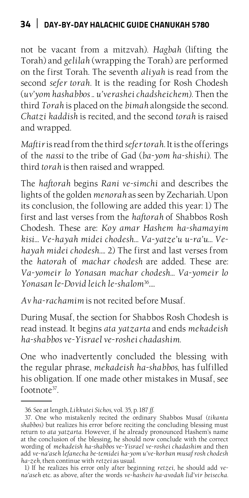not be vacant from a mitzvah). *Hagbah* (lifting the Torah) and *gelilah* (wrapping the Torah) are performed on the first Torah. The seventh *aliyah* is read from the second *sefer torah*. It is the reading for Rosh Chodesh (*uv'yom hashabbos* .. *u'verashei chadsheichem*). Then the third *Torah* is placed on the *bimah* alongside the second. *Chatzi kaddish* is recited, and the second *torah* is raised and wrapped.

*Maftir* is read from the third *sefer torah*. It is the offerings of the *nassi* to the tribe of Gad (*ba-yom ha-shishi*). The third *torah* is then raised and wrapped.

The *haftorah* begins *Rani ve-simchi* and describes the lights of the golden *menorah* as seen by Zechariah. Upon its conclusion, the following are added this year: 1) The first and last verses from the *haftorah* of Shabbos Rosh Chodesh. These are: *Koy amar Hashem ha-shamayim kisi… Ve-hayah midei chodesh… Va-yatze'u u-ra'u… Vehayah midei chodesh…*. 2) The first and last verses from the *hatorah* of *machar chodesh* are added. These are: *Va-yomeir lo Yonasan machar chodesh… Va-yomeir lo Yonasan le-Dovid leich le-shalom*<sup>36</sup>*…*.

*Av ha-rachamim* is not recited before Musaf.

During Musaf, the section for Shabbos Rosh Chodesh is read instead. It begins *ata yatzarta* and ends *mekadeish ha-shabbos ve-Yisrael ve-roshei chadashim*.

One who inadvertently concluded the blessing with the regular phrase, *mekadeish ha-shabbos*, has fulfilled his obligation. If one made other mistakes in Musaf, see footnote37.

<sup>36.</sup> See at length, *Likkutei Sichos*, vol. 35, p. 187 *ff*.

<sup>37.</sup> One who mistakenly recited the ordinary Shabbos Musaf (*tikanta shabbos*) but realizes his error before reciting the concluding blessing must return to *ata yatzarta*. However, if he already pronounced Hashem's name at the conclusion of the blessing, he should now conclude with the correct wording of *mekadeish ha-shabbos ve-Yisrael ve-roshei chadashim* and then add *ve-na'aseh lefanecha be-temidei ha-yom u've-korban musaf rosh chodesh ha-zeh*, then continue with *retzei* as usual.

<sup>1)</sup> If he realizes his error only after beginning *retzei*, he should add *vena'aseh* etc. as above, after the words *ve-hasheiv ha-avodah lid'vir beisecha*.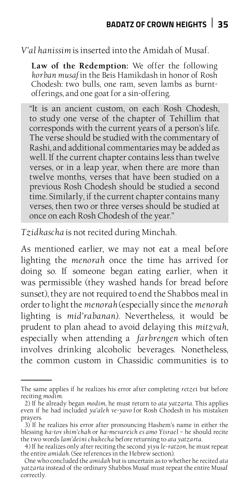*V'al hanissim* is inserted into the Amidah of Musaf.

**Law of the Redemption:** We offer the following *korban musaf* in the Beis Hamikdash in honor of Rosh Chodesh: two bulls, one ram, seven lambs as burntofferings, and one goat for a sin-offering.

"It is an ancient custom, on each Rosh Chodesh, to study one verse of the chapter of Tehillim that corresponds with the current years of a person's life. The verse should be studied with the commentary of Rashi, and additional commentaries may be added as well. If the current chapter contains less than twelve verses, or in a leap year, when there are more than twelve months, verses that have been studied on a previous Rosh Chodesh should be studied a second time. Similarly, if the current chapter contains many verses, then two or three verses should be studied at once on each Rosh Chodesh of the year."

*Tzidkascha* is not recited during Minchah.

As mentioned earlier, we may not eat a meal before lighting the *menorah* once the time has arrived for doing so. If someone began eating earlier, when it was permissible (they washed hands for bread before sunset), they are not required to end the Shabbos meal in order to light the *menorah* (especially since the *menorah*  lighting is *mid'rabanan*). Nevertheless, it would be prudent to plan ahead to avoid delaying this *mitzvah*, especially when attending a *farbrengen* which often involves drinking alcoholic beverages. Nonetheless, the common custom in Chassidic communities is to

The same applies if he realizes his error after completing *retzei* but before reciting *modim*.

<sup>2)</sup> If he already began *modim*, he must return to *ata yatzarta*. This applies even if he had included *ya'aleh ve-yavo* for Rosh Chodesh in his mistaken prayers.

<sup>3)</sup> If he realizes his error after pronouncing Hashem's name in either the blessing *ha-tov shim'chah* or *ha-mevareich es amo Yisrael* – he should recite the two words *lam'deini chukecha* before returning to *ata yatzarta*.

<sup>4)</sup> If he realizes only after reciting the second *yiyu le-ratzon*, he must repeat the entire *amidah*. (See references in the Hebrew section).

One who concluded the *amidah* but is uncertain as to whether he recited *ata yatzarta* instead of the ordinary Shabbos Musaf must repeat the entire Musaf correctly.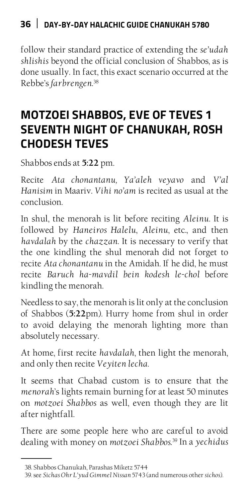follow their standard practice of extending the *se'udah shlishis* beyond the official conclusion of Shabbos, as is done usually. In fact, this exact scenario occurred at the Rebbe's *farbrengen*. 38

## **Motzoei Shabbos, Eve of Teves 1 Seventh Night of Chanukah, Rosh Chodesh Teves**

Shabbos ends at **5:22** pm.

Recite *Ata chonantanu, Ya'aleh veyavo* and *V'al Hanisim* in Maariv*. Vihi no'am* is recited as usual at the conclusion.

In shul, the menorah is lit before reciting *Aleinu*. It is followed by *Haneiros Halelu*, *Aleinu*, etc., and then *havdalah* by the *chazzan*. It is necessary to verify that the one kindling the shul menorah did not forget to recite *Ata chonantanu* in the Amidah. If he did, he must recite *Baruch ha-mavdil bein kodesh le-chol* before kindling the menorah.

Needless to say, the menorah is lit only at the conclusion of Shabbos (**5:22**pm). Hurry home from shul in order to avoid delaying the menorah lighting more than absolutely necessary.

At home, first recite *havdalah*, then light the menorah, and only then recite *Veyiten lecha*.

It seems that Chabad custom is to ensure that the *menorah*'s lights remain burning for at least 50 minutes on *motzoei Shabbos* as well, even though they are lit after nightfall.

There are some people here who are careful to avoid dealing with money on *motzoei Shabbos.*39 In a *yechidus* 

<sup>38.</sup> Shabbos Chanukah, Parashas Miketz 5744

<sup>39.</sup> see *Sichas Ohr L'yud Gimmel Nissan* 5743 (and numerous other *sichos*).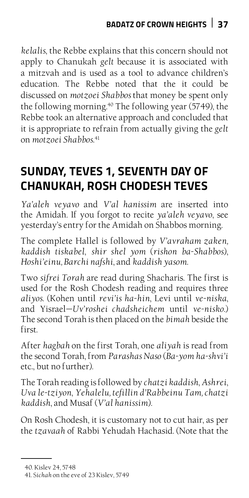*kelalis*, the Rebbe explains that this concern should not apply to Chanukah *gelt* because it is associated with a mitzvah and is used as a tool to advance children's education. The Rebbe noted that the it could be discussed on *motzoei Shabbos* that money be spent only the following morning.<sup>40</sup> The following year (5749), the Rebbe took an alternative approach and concluded that it is appropriate to refrain from actually giving the *gelt*  on *motzoei Shabbos*. 41

# **Sunday, Teves 1, Seventh Day of Chanukah, Rosh Chodesh Teves**

*Ya'aleh veyavo* and *V'al hanissim* are inserted into the Amidah. If you forgot to recite *ya'aleh veyavo*, see yesterday's entry for the Amidah on Shabbos morning.

The complete Hallel is followed by *V'avraham zaken, kaddish tiskabel*, *shir shel yom* (*rishon ba-Shabbos*), *Hoshi'einu, Barchi nafshi*, and *kaddish yasom*.

Two *sifrei Torah* are read during Shacharis. The first is used for the Rosh Chodesh reading and requires three *aliyos*. (Kohen until *revi'is ha-hin*, Levi until *ve-niska*, and Yisrael—*Uv'roshei chadsheichem* until *ve-nisko*.) The second Torah is then placed on the *bimah* beside the first.

After *hagbah* on the first Torah, one *aliyah* is read from the second Torah, from *Parashas Naso* (*Ba-yom ha-shvi'i*  etc., but no further).

The Torah reading is followed by *chatzi kaddish*, *Ashrei*, *Uva le-tziyon*, *Yehalelu, tefillin d'Rabbeinu Tam, chatzi kaddish*, and Musaf (*V'al hanissim*).

On Rosh Chodesh, it is customary not to cut hair, as per the *tzavaah* of Rabbi Yehudah Hachasid. (Note that the

<sup>40.</sup> Kislev 24, 5748

<sup>41.</sup> S*ichah* on the eve of 23 Kislev, 5749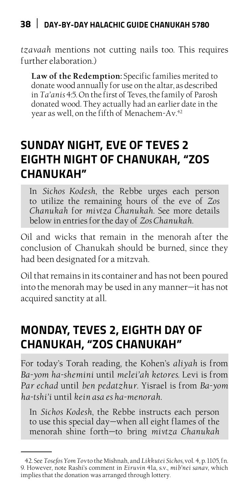*tzavaah* mentions not cutting nails too. This requires further elaboration.)

**Law of the Redemption:** Specific families merited to donate wood annually for use on the altar, as described in *Ta'anis* 4:5. On the first of Teves, the family of Parosh donated wood. They actually had an earlier date in the year as well, on the fifth of Menachem-Av.42

## **Sunday Night, Eve of Teves 2 Eighth Night of Chanukah, "Zos Chanukah"**

In *Sichos Kodesh*, the Rebbe urges each person to utilize the remaining hours of the eve of *Zos Chanukah* for *mivtza Chanukah*. See more details below in entries for the day of *Zos Chanukah*.

Oil and wicks that remain in the menorah after the conclusion of Chanukah should be burned, since they had been designated for a mitzvah.

Oil that remains in its container and has not been poured into the menorah may be used in any manner—it has not acquired sanctity at all.

# **Monday, Teves 2, Eighth Day of Chanukah, "Zos Chanukah"**

For today's Torah reading, the Kohen's *aliyah* is from *Ba-yom ha-shemini* until *melei'ah ketores*. Levi is from *Par echad* until *ben pedatzhur*. Yisrael is from *Ba-yom ha-tshi'i* until *kein asa es ha-menorah*.

In *Sichos Kodesh*, the Rebbe instructs each person to use this special day—when all eight flames of the menorah shine forth—to bring *mivtza Chanukah* 

<sup>42.</sup> See *Tosefos Yom Tov* to the Mishnah, and *Likkutei Sichos,* vol. 4, p. 1105, fn. 9. However, note Rashi's comment in *Eiruvin* 41a, s.v., *mib'nei sanav*, which implies that the donation was arranged through lottery.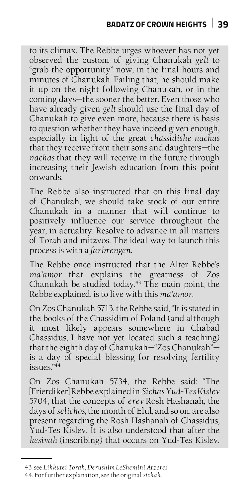to its climax. The Rebbe urges whoever has not yet observed the custom of giving Chanukah *gelt* to "grab the opportunity" now, in the final hours and minutes of Chanukah. Failing that, he should make it up on the night following Chanukah, or in the coming days—the sooner the better. Even those who have already given *gelt* should use the final day of Chanukah to give even more, because there is basis to question whether they have indeed given enough, especially in light of the great *chassidishe nachas*  that they receive from their sons and daughters—the *nachas* that they will receive in the future through increasing their Jewish education from this point onwards.

The Rebbe also instructed that on this final day of Chanukah, we should take stock of our entire Chanukah in a manner that will continue to positively influence our service throughout the year, in actuality. Resolve to advance in all matters of Torah and mitzvos. The ideal way to launch this process is with a *farbrengen*.

The Rebbe once instructed that the Alter Rebbe's *ma'amor* that explains the greatness of Zos Chanukah be studied today.<sup>43</sup> The main point, the Rebbe explained, is to live with this *ma'amor*.

On Zos Chanukah 5713, the Rebbe said, "It is stated in the books of the Chassidim of Poland (and although it most likely appears somewhere in Chabad Chassidus, I have not yet located such a teaching) that the eighth day of Chanukah—"Zos Chanukah" $$ is a day of special blessing for resolving fertility  $i$ ssues." $44$ 

On Zos Chanukah 5734, the Rebbe said: "The [Frierdiker] Rebbe explained in *Sichas Yud-Tes Kislev*  5704, that the concepts of *erev* Rosh Hashanah, the days of *selichos*, the month of Elul, and so on, are also present regarding the Rosh Hashanah of Chassidus, Yud-Tes Kislev. It is also understood that after the *kesivah* (inscribing) that occurs on Yud-Tes Kislev,

<sup>43.</sup> see *Likkutei Torah*, *Derushim LeShemini Atzeres*

<sup>44.</sup> For further explanation, see the original *sichah.*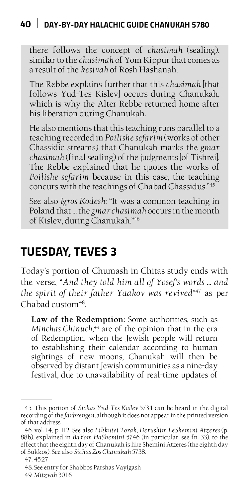there follows the concept of *chasimah* (sealing), similar to the *chasimah* of Yom Kippur that comes as a result of the *kesivah* of Rosh Hashanah.

The Rebbe explains further that this *chasimah* [that follows Yud-Tes Kislev] occurs during Chanukah, which is why the Alter Rebbe returned home after his liberation during Chanukah.

He also mentions that this teaching runs parallel to a teaching recorded in *Poilishe sefarim* (works of other Chassidic streams) that Chanukah marks the *gmar chasimah* (final sealing) of the judgments [of Tishrei]. The Rebbe explained that he quotes the works of *Poilishe sefarim* because in this case, the teaching concurs with the teachings of Chabad Chassidus."45

See also *Igros Kodesh*: "It was a common teaching in Poland that … the *gmar chasimah* occurs in the month of Kislev, during Chanukah."46

## **Tuesday, Teves 3**

Today's portion of Chumash in Chitas study ends with the verse, "*And they told him all of Yosef's words … and the spirit of their father Yaakov was revived*" 47 as per  $Chabad$  custom $48$ .

**Law of the Redemption:** Some authorities, such as *Minchas Chinuch,*49 are of the opinion that in the era of Redemption, when the Jewish people will return to establishing their calendar according to human sightings of new moons, Chanukah will then be observed by distant Jewish communities as a nine-day festival, due to unavailability of real-time updates of

<sup>45.</sup> This portion of *Sichas Yud-Tes Kislev* 5734 can be heard in the digital recording of the *farbrengen*, although it does not appear in the printed version of that address.

<sup>46.</sup> vol. 14, p. 112. See also *Likkutei Torah*, *Derushim LeShemini Atzeres* (p. 88b), explained in *BaYom HaShemini* 5746 (in particular, see fn. 33), to the effect that the eighth day of Chanukah is like Shemini Atzeres (the eighth day of Sukkos). See also *Sichas Zos Chanukah* 5738.

<sup>47. 45:27</sup>

<sup>48.</sup> See entry for Shabbos Parshas Vayigash

<sup>49.</sup> *Mitzvah* 301:6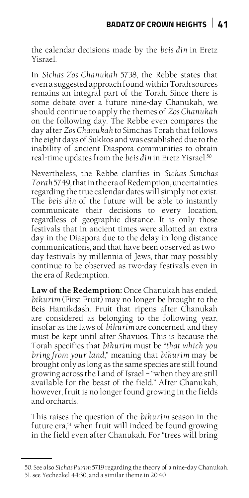the calendar decisions made by the *beis din* in Eretz Yisrael.

In *Sichas Zos Chanukah* 5738, the Rebbe states that even a suggested approach found within Torah sources remains an integral part of the Torah. Since there is some debate over a future nine-day Chanukah, we should continue to apply the themes of *Zos Chanukah*  on the following day. The Rebbe even compares the day after *Zos Chanukah* to Simchas Torah that follows the eight days of Sukkos and was established due to the inability of ancient Diaspora communities to obtain real-time updates from the *beis din* in Eretz Yisrael.50

Nevertheless, the Rebbe clarifies in *Sichas Simchas Torah* 5749, that in the era of Redemption, uncertainties regarding the true calendar dates will simply not exist. The *beis din* of the future will be able to instantly communicate their decisions to every location, regardless of geographic distance. It is only those festivals that in ancient times were allotted an extra day in the Diaspora due to the delay in long distance communications, and that have been observed as twoday festivals by millennia of Jews, that may possibly continue to be observed as two-day festivals even in the era of Redemption.

**Law of the Redemption:** Once Chanukah has ended, *bikurim* (First Fruit) may no longer be brought to the Beis Hamikdash. Fruit that ripens after Chanukah are considered as belonging to the following year, insofar as the laws of *bikurim* are concerned, and they must be kept until after Shavuos. This is because the Torah specifies that *bikurim* must be "*that which you bring from your land*," meaning that *bikurim* may be brought only as long as the same species are still found growing across the Land of Israel – "when they are still available for the beast of the field." After Chanukah, however, fruit is no longer found growing in the fields and orchards.

This raises the question of the *bikurim* season in the future era,<sup>51</sup> when fruit will indeed be found growing in the field even after Chanukah. For "trees will bring

<sup>50.</sup> See also *Sichas Purim* 5719 regarding the theory of a nine-day Chanukah. 51. see Yechezkel 44:30, and a similar theme in 20:40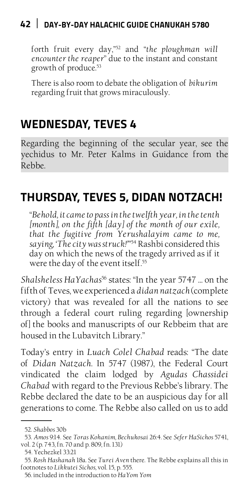forth fruit every day,"52 and "*the ploughman will encounter the reaper*" due to the instant and constant growth of produce.53

There is also room to debate the obligation of *bikurim*  regarding fruit that grows miraculously.

## **Wednesday, Teves 4**

Regarding the beginning of the secular year, see the yechidus to Mr. Peter Kalms in Guidance from the Rebbe.

## **Thursday, Teves 5, Didan Notzach!**

"*Behold, it came to pass in the twelfth year, in the tenth [month], on the fifth [day] of the month of our exile, that the fugitive from Yerushalayim came to me, saying, 'The city was struck!'*" 54 Rashbi considered this day on which the news of the tragedy arrived as if it were the day of the event itself.<sup>55</sup>

*Shalsheless HaYachas*56 states: "In the year 5747 … on the fifth of Teves, we experienced a *didan natzach* (complete victory) that was revealed for all the nations to see through a federal court ruling regarding [ownership of] the books and manuscripts of our Rebbeim that are housed in the Lubavitch Library."

Today's entry in *Luach Colel Chabad* reads: "The date of *Didan Natzach*. In 5747 (1987), the Federal Court vindicated the claim lodged by *Agudas Chassidei Chabad* with regard to the Previous Rebbe's library. The Rebbe declared the date to be an auspicious day for all generations to come. The Rebbe also called on us to add

<sup>52.</sup> *Shabbos* 30b

<sup>53.</sup> *Amos* 9:14. See *Toras Kohanim, Bechukosai* 26:4*.* See *Sefer HaSichos* 5741, vol. 2 (p. 743, fn. 70 and p. 809, fn. 131)

<sup>54.</sup> Yechezkel 33:21

<sup>55.</sup> *Rosh Hashanah* 18a. See *Turei Aven* there. The Rebbe explains all this in footnotes to *Likkutei Sichos,* vol. 15, p. 555.

<sup>56.</sup> included in the introduction to *HaYom Yom*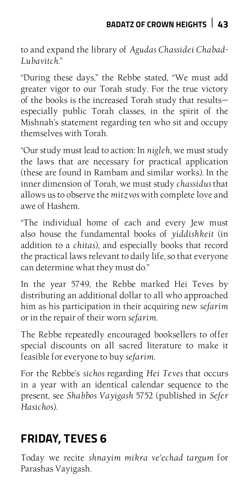to and expand the library of *Agudas Chassidei Chabad-Lubavitch*."

"During these days," the Rebbe stated, "We must add greater vigor to our Torah study. For the true victory of the books is the increased Torah study that results especially public Torah classes, in the spirit of the Mishnah's statement regarding ten who sit and occupy themselves with Torah.

"Our study must lead to action: In *nigleh*, we must study the laws that are necessary for practical application (these are found in Rambam and similar works). In the inner dimension of Torah, we must study *chassidus* that allows us to observe the *mitzvos* with complete love and awe of Hashem.

"The individual home of each and every Jew must also house the fundamental books of *yiddishkeit* (in addition to a *chitas*), and especially books that record the practical laws relevant to daily life, so that everyone can determine what they must do."

In the year 5749, the Rebbe marked Hei Teves by distributing an additional dollar to all who approached him as his participation in their acquiring new *sefarim* or in the repair of their worn *sefarim*.

The Rebbe repeatedly encouraged booksellers to offer special discounts on all sacred literature to make it feasible for everyone to buy *sefarim*.

For the Rebbe's *sichos* regarding *Hei Teves* that occurs in a year with an identical calendar sequence to the present, see *Shabbos Vayigash* 5752 (published in *Sefer Hasichos*).

# **Friday, Teves 6**

Today we recite *shnayim mikra ve'echad targum* for Parashas Vayigash.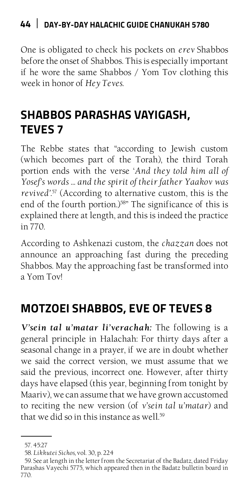One is obligated to check his pockets on *erev* Shabbos before the onset of Shabbos. This is especially important if he wore the same Shabbos / Yom Tov clothing this week in honor of *Hey Teves*.

# **Shabbos Parashas Vayigash, Teves 7**

The Rebbe states that "according to Jewish custom (which becomes part of the Torah), the third Torah portion ends with the verse '*And they told him all of Yosef's words … and the spirit of their father Yaakov was revived'.*57 (According to alternative custom, this is the end of the fourth portion.)<sup>58"</sup> The significance of this is explained there at length, and this is indeed the practice in 770.

According to Ashkenazi custom, the *chazzan* does not announce an approaching fast during the preceding Shabbos. May the approaching fast be transformed into a Yom Tov!

# **Motzoei Shabbos, Eve of Teves 8**

*V'sein tal u'matar li'verachah:* The following is a general principle in Halachah: For thirty days after a seasonal change in a prayer, if we are in doubt whether we said the correct version, we must assume that we said the previous, incorrect one. However, after thirty days have elapsed (this year, beginning from tonight by Maariv), we can assume that we have grown accustomed to reciting the new version (of *v'sein tal u'matar*) and that we did so in this instance as well.<sup>59</sup>

<sup>57. 45:27</sup>

<sup>58.</sup> *Likkutei Sichos,* vol. 30, p. 224

<sup>59.</sup> See at length in the letter from the Secretariat of the Badatz, dated Friday Parashas Vayechi 5775, which appeared then in the Badatz bulletin board in 770.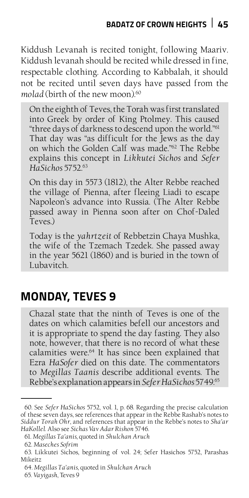Kiddush Levanah is recited tonight, following Maariv. Kiddush levanah should be recited while dressed in fine, respectable clothing. According to Kabbalah, it should not be recited until seven days have passed from the molad (birth of the new moon).<sup>60</sup>

On the eighth of Teves, the Torah was first translated into Greek by order of King Ptolmey. This caused "three days of darkness to descend upon the world."61 That day was "as difficult for the Jews as the day on which the Golden Calf was made."62 The Rebbe explains this concept in *Likkutei Sichos* and *Sefer HaSichos* 5752.63

On this day in 5573 (1812), the Alter Rebbe reached the village of Pienna, after fleeing Liadi to escape Napoleon's advance into Russia. (The Alter Rebbe passed away in Pienna soon after on Chof-Daled Teves.)

Today is the *yahrtzeit* of Rebbetzin Chaya Mushka, the wife of the Tzemach Tzedek. She passed away in the year 5621 (1860) and is buried in the town of Lubavitch.

## **Monday, Teves 9**

Chazal state that the ninth of Teves is one of the dates on which calamities befell our ancestors and it is appropriate to spend the day fasting. They also note, however, that there is no record of what these calamities were.64 It has since been explained that Ezra *HaSofer* died on this date. The commentators to *Megillas Taanis* describe additional events. The Rebbe's explanation appears in *Sefer HaSichos* 5749.65

<sup>60.</sup> See *Sefer HaSichos* 5752, vol. 1, p. 68. Regarding the precise calculation of these seven days, see references that appear in the Rebbe Rashab's notes to *Siddur Torah Ohr*, and references that appear in the Rebbe's notes to *Sha'ar HaKollel*. Also see *Sichas Vav Adar Rishon* 5746.

<sup>61.</sup> *Megillas Ta'anis*, quoted in *Shulchan Aruch*

<sup>62.</sup> *Maseches Sofrim*

<sup>63.</sup> Likkutei Sichos, beginning of vol. 24; Sefer Hasichos 5752, Parashas Mikeitz

<sup>64.</sup> *Megillas Ta'anis*, quoted in *Shulchan Aruch*

<sup>65.</sup> *Vayigash*, Teves 9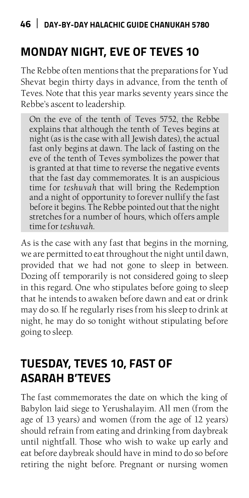## **Monday Night, Eve of Teves 10**

The Rebbe often mentions that the preparations for Yud Shevat begin thirty days in advance, from the tenth of Teves. Note that this year marks seventy years since the Rebbe's ascent to leadership.

On the eve of the tenth of Teves 5752, the Rebbe explains that although the tenth of Teves begins at night (as is the case with all Jewish dates), the actual fast only begins at dawn. The lack of fasting on the eve of the tenth of Teves symbolizes the power that is granted at that time to reverse the negative events that the fast day commemorates. It is an auspicious time for *teshuvah* that will bring the Redemption and a night of opportunity to forever nullify the fast before it begins. The Rebbe pointed out that the night stretches for a number of hours, which offers ample time for *teshuvah*.

As is the case with any fast that begins in the morning, we are permitted to eat throughout the night until dawn, provided that we had not gone to sleep in between. Dozing off temporarily is not considered going to sleep in this regard. One who stipulates before going to sleep that he intends to awaken before dawn and eat or drink may do so. If he regularly rises from his sleep to drink at night, he may do so tonight without stipulating before going to sleep.

## **Tuesday, Teves 10, Fast of Asarah B'Teves**

The fast commemorates the date on which the king of Babylon laid siege to Yerushalayim. All men (from the age of 13 years) and women (from the age of 12 years) should refrain from eating and drinking from daybreak until nightfall. Those who wish to wake up early and eat before daybreak should have in mind to do so before retiring the night before. Pregnant or nursing women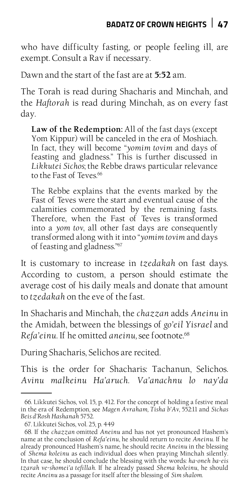who have difficulty fasting, or people feeling ill, are exempt. Consult a Rav if necessary.

Dawn and the start of the fast are at **5:52** am.

The Torah is read during Shacharis and Minchah, and the *Haftorah* is read during Minchah, as on every fast day.

**Law of the Redemption:** All of the fast days (except Yom Kippur) will be canceled in the era of Moshiach. In fact, they will become "*yomim tovim* and days of feasting and gladness." This is further discussed in *Likkutei Sichos*; the Rebbe draws particular relevance to the Fast of Teves.<sup>66</sup>

The Rebbe explains that the events marked by the Fast of Teves were the start and eventual cause of the calamities commemorated by the remaining fasts. Therefore, when the Fast of Teves is transformed into a *yom tov*, all other fast days are consequently transformed along with it into "*yomim tovim* and days of feasting and gladness."67

It is customary to increase in *tzedakah* on fast days. According to custom, a person should estimate the average cost of his daily meals and donate that amount to *tzedakah* on the eve of the fast.

In Shacharis and Minchah, the *chazzan* adds *Aneinu* in the Amidah, between the blessings of *go'eil Yisrael* and *Refa'einu*. If he omitted *aneinu,* see footnote.68

During Shacharis, Selichos are recited.

This is the order for Shacharis: Tachanun, Selichos. *Avinu malkeinu Ha'aruch*. *Va'anachnu lo nay'da*

<sup>66.</sup> Likkutei Sichos, vol. 15, p. 412. For the concept of holding a festive meal in the era of Redemption, see *Magen Avraham, Tisha b'Av*, 552:11 and *Sichas Beis d'Rosh Hashanah* 5752.

<sup>67.</sup> Likkutei Sichos, vol. 25, p. 449

<sup>68.</sup> If the *chazzan* omitted *Aneinu* and has not yet pronounced Hashem's name at the conclusion of *Refa'einu*, he should return to recite *Aneinu*. If he already pronounced Hashem's name, he should recite *Aneinu* in the blessing of *Shema koleinu* as each individual does when praying Minchah silently. In that case, he should conclude the blessing with the words: *ha-oneh ba-eis tzarah ve-shomei'a tefillah*. If he already passed *Shema koleinu*, he should recite *Aneinu* as a passage for itself after the blessing of *Sim shalom*.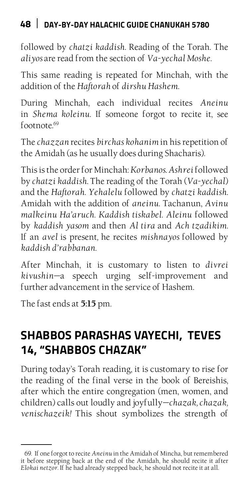followed by *chatzi kaddish*. Reading of the Torah. The *aliyos* are read from the section of *Va-yechal Moshe*.

This same reading is repeated for Minchah, with the addition of the *Haftorah* of *dirshu Hashem*.

During Minchah, each individual recites *Aneinu*  in *Shema koleinu*. If someone forgot to recite it, see footnote.69

The *chazzan* recites *birchas kohanim* in his repetition of the Amidah (as he usually does during Shacharis).

This is the order for Minchah: *Korbanos. Ashrei* followed by *chatzi kaddish.* The reading of the Torah (*Va-yechal*) and the *Haftorah*. *Yehalelu* followed by *chatzi kaddish*. Amidah with the addition of *aneinu*. Tachanun, *Avinu malkeinu Ha'aruch*. *Kaddish tiskabel*. *Aleinu* followed by *kaddish yasom* and then *Al tira* and *Ach tzadikim*. If an *avel* is present*,* he recites *mishnayos* followed by *kaddish d'rabbanan*.

After Minchah, it is customary to listen to *divrei kivushin*—a speech urging self-improvement and further advancement in the service of Hashem.

The fast ends at **5:15** pm.

## **Shabbos Parashas Vayechi, Teves 14, "Shabbos Chazak"**

During today's Torah reading, it is customary to rise for the reading of the final verse in the book of Bereishis, after which the entire congregation (men, women, and children) calls out loudly and joyfully—*chazak, chazak, venischazeik!* This shout symbolizes the strength of

<sup>69.</sup> If one forgot to recite *Aneinu* in the Amidah of Mincha, but remembered it before stepping back at the end of the Amidah, he should recite it after *Elokai netzor*. If he had already stepped back, he should not recite it at all.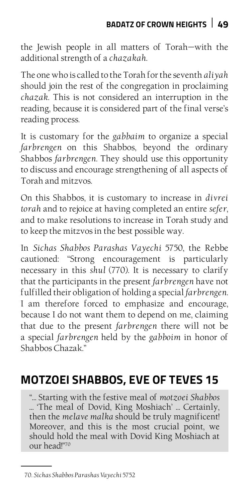the Jewish people in all matters of Torah—with the additional strength of a *chazakah*.

The one who is called to the Torah for the seventh *aliyah* should join the rest of the congregation in proclaiming *chazak*. This is not considered an interruption in the reading, because it is considered part of the final verse's reading process.

It is customary for the *gabbaim* to organize a special *farbrengen* on this Shabbos, beyond the ordinary Shabbos *farbrengen*. They should use this opportunity to discuss and encourage strengthening of all aspects of Torah and mitzvos.

On this Shabbos, it is customary to increase in *divrei torah* and to rejoice at having completed an entire *sefer*, and to make resolutions to increase in Torah study and to keep the mitzvos in the best possible way.

In *Sichas Shabbos Parashas Vayechi* 5750, the Rebbe cautioned: "Strong encouragement is particularly necessary in this *shul* (770). It is necessary to clarify that the participants in the present *farbrengen* have not fulfilled their obligation of holding a special *farbrengen*. I am therefore forced to emphasize and encourage, because I do not want them to depend on me, claiming that due to the present *farbrengen* there will not be a special *farbrengen* held by the *gabboim* in honor of Shabbos Chazak."

# **Motzoei Shabbos, Eve of Teves 15**

"… Starting with the festive meal of *motzoei Shabbos*  … 'The meal of Dovid, King Moshiach' … Certainly, then the *melave malka* should be truly magnificent! Moreover, and this is the most crucial point, we should hold the meal with Dovid King Moshiach at our head!"70

<sup>70.</sup> *Sichas Shabbos Parashas Vayechi* 5752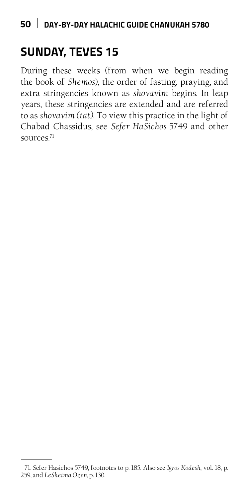## **Sunday, Teves 15**

During these weeks (from when we begin reading the book of *Shemos*), the order of fasting, praying, and extra stringencies known as *shovavim* begins. In leap years, these stringencies are extended and are referred to as *shovavim (tat)*. To view this practice in the light of Chabad Chassidus, see *Sefer HaSichos* 5749 and other sources.<sup>71</sup>

<sup>71.</sup> Sefer Hasichos 5749, footnotes to p. 185. Also see *Igros Kodesh*, vol. 18, p. 259, and *LeSheima Ozen,* p. 130.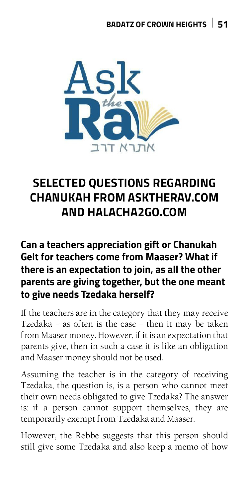

#### **SELECTED QUESTIONS REGARDING chanukah from asktherav.com**  *Can I take a shower on Yom Tov? Do I need to Kasher my fork?*  AND HALACHA2GO.COM *Can I use Maaser to pay tuition?*

#### Can a teachers appreciation gift or Chanukah **Carra ceachers appreciation gives chainemally**<br>Gelt for teachers come from Maaser? What if there is an expectation to join, as all the other mere is an expectation to join, as an the other<br>parents are giving together, but the one meant to give needs Tzedaka herself? re giving togetner, but the one meant

If the teachers are in the category that they may receive Tzedaka - as often is the case - then it may be taken from Maaser money. However, if it is an expectation that parents give, then in such a case it is like an obligation and Maaser money should not be used.

Assuming the teacher is in the category of receiving Tzedaka, the question is, is a person who cannot meet their own needs obligated to give Tzedaka? The answer is: if a person cannot support themselves, they are temporarily exempt from Tzedaka and Maaser.

However, the Rebbe suggests that this person should still give some Tzedaka and also keep a memo of how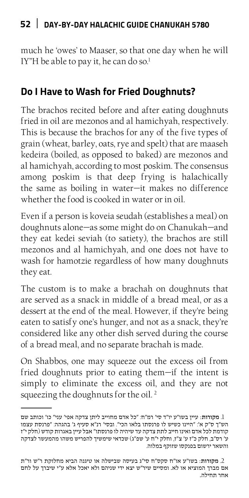much he 'owes' to Maaser, so that one day when he will IY"H be able to pay it, he can do so.<sup>1</sup>

#### **Do I Have to Wash for Fried Doughnuts?**

The brachos recited before and after eating doughnuts fried in oil are mezonos and al hamichyah, respectively. This is because the brachos for any of the five types of grain (wheat, barley, oats, rye and spelt) that are maaseh kedeira (boiled, as opposed to baked) are mezonos and al hamichyah, according to most poskim. The consensus among poskim is that deep frying is halachically the same as boiling in water—it makes no difference whether the food is cooked in water or in oil.

Even if a person is koveia seudah (establishes a meal) on doughnuts alone—as some might do on Chanukah—and they eat kedei seviah (to satiety), the brachos are still mezonos and al hamichyah, and one does not have to wash for hamotzie regardless of how many doughnuts they eat.

The custom is to make a brachah on doughnuts that are served as a snack in middle of a bread meal, or as a dessert at the end of the meal. However, if they're being eaten to satisfy one's hunger, and not as a snack, they're considered like any other dish served during the course of a bread meal, and no separate brachah is made.

On Shabbos, one may squeeze out the excess oil from fried doughnuts prior to eating them—if the intent is simply to eliminate the excess oil, and they are not squeezing the doughnuts for the oil.<sup>2</sup>

<sup>.1</sup> מקורות: עיין בשו״ע יו״ד סי׳ רמ״ח: ״כל אדם מחוייב ליתן צדקה אפי' עני״ כו׳ וכותב שם הש״ך ס״ק א׳: ״היינו כשיש לו פרנסתו בלאו הכי״. ובסי׳ רנ״א סעיף ג׳ בהגהה: ״פרנסת עצמו קודמת לכל אדם ואינו חייב לתת צדקה עד שיהיה לו פרנסתו״ אבל עיין באגרות קודש )חלק י״ז ע׳ רס״ב, חלק כ״ז ע׳ צ״ז, וחלק י״ח ע׳ שפ״ג( שכדאי שימשיך להפריש משהו מהמעשר לצדקה והשאר ירשום בפנקסו שזוקף במלוה.

<sup>.2</sup> מקורות: בשו״ע או״ח סקס״ח סי״ג בעיסה שבישלה או טיגנה הביא מחלוקת ר״ש ור״ת אם מברך המוציא או לא. ומסיים שיר״ש יצא ידי שניהם ולא יאכל אלא ע״י שיברך על לחם אחר תחילה.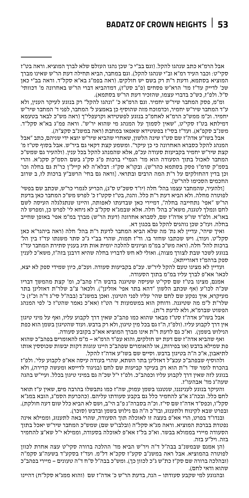#### **Badatz of Crown Heights 53**

אבל הרמ״א כתב שנהגו להקל. )וגם בב״י כ׳ שכן נהגו העולם שלא לברך המוציא. וראה בט״ז סקי״ט: וכבר העיד רמ״א וב״י שנהגו להקל(. וגם במחבר, הביא תחילה דעת הר״ש שאינו מברך המוציא בסתמא, ודעת ר״ת רק בשם יש חולקים. )ראה בפמ״ג בא״א סקל״ד. וראה בב״י כאן שכ׳ לדייק עד״ז מד׳ הרא״ש פסחים (פ״ב סט״ז), דמדהביא דברי הר״ש באחרונה מ׳ דכוותי׳ ס״ל. ולפ״ז, כש״כ בדברי עצמו, שהזכיר דעת הר״ש בסתמא(.

ומ״מ, פסק המחבר שיר״ש יחמיר. וגם הרמ״א כ׳ ״ונהגו להקל״ רק בנוגע לעיקר הענין, ולא ע״ד המחבר שיר״ש יחמיר, וכדמוכח מזה שהוסיף כן באמצע ל׳ המחבר, לפני ד׳ המחבר שיר״ש יחמיר. וכ״מ ממש״כ הרמ״א לאחמ״כ בנוגע לפשטידא וקרעפלי״ך )ראה מש״כ לבאר בטעמא דמילתא בט״ז סקי״ט, ״שאין לסמוך על המנהג מי שהוא יר״ש״. וראה פמ״ג בא״א סקל״ד. משנ״ב סקפ״א). ועד״ז בסי״ז בפשטידא שאפאו במחבת (ראה במשנ״ב סקצ״ה).

אבל בשו״ע אדה״ז שם סט״ו שינה הלשון, שאחרי שהביא שיר״ש יוצא ידי שניהם, כתב ״אבל המנהג להקל כסברא האחרונה כי כן עיקר״. ומשמע קצת דקאי גם ביר״ש. אבל בסוף סט״ז מ׳ קצת שיר״ש יחמיר בקביעות סעודה עכ״פ, אלא שהמנהג להקל בכל ענין. )ולהעיר גם שמש״כ המחבר לאכול בתוך הסעודה הוא מד׳ הגמי״י ברכות פ״ג סק״ג בשם הסמ״ק סקנ״א. והרי בסמ״ק סרמ״ו פסק בסתמא כהר״ש(. ובקו״א סק״ז: דבלא״ה לא קייל״ן כר״ת גם בחלה וכו׳ וכן בדין דהחולקים על ר״ת המה הרבים ובתראי. ]וראה גם בחי׳ הרשב״ץ ברכות לז, ב שרוב החכמים הסכימו להר״ש[.

]ולהעיר, שהמחבר עצמו בהל׳ חלה )יו״ד סשכ״ט ס״ג(, הכריע לגמרי כר״ש, שכתב שם בפשי׳ לפוטרה מחלה. ולא הביא דעת ר״ת כלל. והנה, בט״ז סקט״ז כ׳ לפרש מש״כ המחבר כאן בדעת הר״ש ״אפי׳ נתחייבה בחלה״, דמיירי כאן שבדעתו לאפותה, והיינו שנתגלגלה העיסה לשם לחם ונמלך לטגנה, משא״כ בהל׳ חלה. אלא שבמג״א סקל״ב לא ניחא לי׳ לפרש כן, ומפרש לה באו״א. ולפ״ד שו״ע אדה״ז שם, לסברא אחרונה )דעת הר״ש( מברך במ״מ אפי׳ באופן שחייב בחלה. ועז״כ שכן נוהגים להקל גם בכגון דא.

ואיך שיהי׳, עדיין לא נת׳ מה שלא הביא המחבר לדעת ר״ת בהל׳ חלה )ראה ביהגר״א כאן סקל״ט. ועוד(. ויש שכתבו שחזר בו. וד״ז תמוה, שהרי בב״י ג״כ סתר משנתו עד״ז בין הל׳ ברכות להל׳ חלה. )ראה מש״כ במ״מ וציונים להלכה יומית אות תיג בענין סתירת המחבר עד״ז בנוגע לשכר שבת לצורך מצוה). ואולי לא חש לדבריו בחלה שהיא דרבנן בזה״ז, משא״כ לענין ספק ברהמ״ז דאורייתא[.

ועדיין לא מצינו טעם להקל ליר״ש. עכ״פ בקביעות סעודה. ועכ״פ, כיון שמידי ספק לא יצא, לכאו׳ אא״פ לברך עליו במ״מ בתוך הסעודה.

אמנם, מצינו בט״ז שם סקי״ט שעיסה שטיגנה בדבש ה״ז פהב״כ, ומ׳ קצת מהמשך דבריו שכ״ה לכו״ע )אף שכתב הלשון ״דהא בתר אפי׳ אזלינן״(. ולכאו׳ צ״ב שלר״ת דאזלינן בתר מעיקרא, איך נפקע שם לחם שהי׳ עליו לפני הטיגון. ואכן במשנ״ב (בבה״ל סי״ג ד״ה וכ״ז) כ׳ שלר״ת ל״מ מה שטיגנה. ודוחק הוא במשמעות ד׳ הט״ז )אא״כ נאמר שהט״ז כ׳ לפי המנהג הפשוט שברמ״א, ולא לדעת ר״ת).

אבל בשו״ע אדה״ז סט״ז מבאר שהוא כמו פהב״כ שאין דרך לקבוע עליו, ואף על מיני טיגון אין דרך לקבוע עליו. )ולפ״ז, ה״ז גם בכל מין טיגון, ולא רק בדבש. ועוד שהטיגון בשמן הוא כפת הנילוש בשמן). וא״כ גם לדעת ר״ת אינו מברך המוציא אא״כ בקובע סעודה.

ואף שהביא אדה״ז שם דעת יש חולקים, והוא עפ״ד הרמ״א - מ״מ להאומרים בפהב״כ שהוא פת שמילא בדבש (או בפירות), או להאומרים שפהב״כ היינו עוגות דקות יבשות שכוססין אותו לתיאבון, א״כ ה״ה בטיגון בדבש. וסיים שם בשו״ע אדה״ז להקל.

ולהוסיף שבפהב״כ עכצ״ל דאזלינן בתר השתא, שהרי בעודה עיסה אא״פ לקבוע עלי׳. ולפ״ז בהכרח לומר שד׳ ר״ת הוא רק בעיקר קביעות שם לחם )בניגוד לדייסא ומעשה קדירה(, ולא בנוגע לזה שאין דרך לקבוע עליו וכפהב״כ. ולפ״ז י״ל שכ״ה גם במיני טיגון בכלל. ועיי״ש בהגה שעה״ג מד׳ אבהעו״ז.

והעיקר בנוגע לענינננו, שנטגנו בשמן עמוק, שה״ז כמו נתבשלו בהרבה מים, שאין ע״ז תואר לחם כלל. ובכה״ג א״צ להחמיר כלל גם בקבע סעודתו עליהם. )כהכרעת הסמ״ג, הובא במג״א סקל״ו, וכפס״ד אדה״ז שם סי״ז. וכ״ה בסברה״נ פ״ב הי״ב, ושם לא הביא כלל שום דעה חולקת). ובפרט שבא לקינוח ולתענוג, ובד"כ ה"ה גם נילוש בשמן ובדבש (סוכר).

ובנדו״ד בפרט, הרי אא״פ בעצה זו לאוכלה תוך הסעודה, שהרי באה לתענוג, וממילא אינה נפטרת בברכת המוציא. וראה מג"א סקל"ה (ובלבו"ש שם) שמש"כ המחבר שיר"ש יאכל בתוך הסעודה מיירי בממולא בבשר. וא״כ בל״ז אא״פ לאוכלה בסעודה, וממילא י״ל שא״צ להחמיר בזה. ויל״ע בזה.

)הן אמנם שבמשנ״ב בבה״ל ד״ה ויר״ש הביא מד׳ ההלכה ברורה סקי״ט עצה אחרת לכוון לפוטרה בהמוציא. אבל ראה במשנ״ב סקע״ז סקכ״א דל״מ. ועד״ז בסקע״ד בשעה״צ סקמ״ה )ובהלכה ברורה שם סק״ז כת״ש ג״כ לכוון כך(. ומש״כ בבה״ל ס״ח ד״ה טעונים - מיירי בפהב״כ שהוא ודאי לחם).

ובהנוגע למי שקבע סעודתו - הנה, בדעת הר״ש כ׳ אדה״ז שם )והוא ממג״א סקל״ח( דהיינו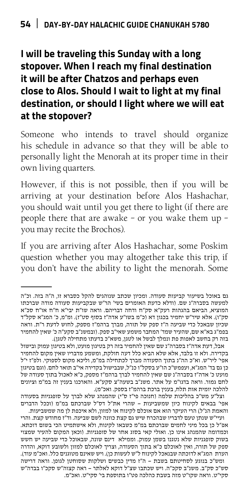### **I will be traveling this Sunday with a long stopover. When I reach my final destination it will be after Chatzos and perhaps even close to Alos. Should I wait to light at my final destination, or should I light where we will eat at the stopover?**

Someone who intends to travel should organize his schedule in advance so that they will be able to personally light the Menorah at its proper time in their own living quarters.

However, if this is not possible, then if you will be arriving at your destination before Alos Hashachar, you should wait until you get there to light (if there are people there that are awake – or you wake them up – you may recite the Brochos).

If you are arriving after Alos Hashachar, some Poskim question whether you may altogether take this trip, if you don't have the ability to light the menorah. Some

וצל״ע מש״כ בהליכות שלמה )חנוכה פי״ז ס״י( שהמנהג שלא לברך על סופגניות בסעודה אפי׳ בבאים לקינוח כיון שמשביעות - שהרי את״ל דס״ל שברכתם במ״מ )וככל הדברים והאמת הנ״ל( הרי העיקר הוא אם אוכלם לקינוח או למזון, ולא איכפת לן מה שמשביעות.

ועיי״ש שנתן טעם לדבריו שבהכרח שיש גם קצת כוונה לשם שביעה. וד״ז מחודש קצת. והרי אפ״ל כן בכל מיני לחמים שברכתם במ״מ כשבאו לקינוח, ולא אישתמיט הכי בשום דוכתא. וכמדומה שהמנהג אינו כן. ואולי קאי בסוג אחר של סופגניות. )וכאן המקום להעיר שמצוי בשוק סופגניות שלא נטגנו בשמן עמוק. וממילא דינם שונה, שבאוכל כדי שביעה יש חשש ספק של תורה, ואין לאוכלם כ״א בתוך הסעודה, וצריך לאוכלם למזון ולשובע דוקא, והדרה הערת המג״א לדוכתה שבנאכל לקינוח ל״ש לעשות כן). ויש שאינם מטוגנים כלל. ואכ״מ עוד). ומש״כ בנוגע לסחיטתם בשבת - ה״ז מדין כבשים ושלקות שסוחטן לגופן. וראה דרישה סש״כ סק״ב. משנ״ב סקכ״ה. ויש שכתבו שצ״ל דוקא לאלתר - ראה קצוה״ש סקכ״ו בבדה״ש סקי״ט. וראה שקו״ט מזה בשבת כהלכה פט״ו בתוספת בי׳ סקי״ט. ואכ״מ.

גם באוכל בשיעור קביעות סעודה. ומכיון שכתב שנוהגים להקל כסברא זו, ה״ה בזה. וכ״ה למעשה בסברה״נ שם. )ודלא כדעת האומרים בשי׳ הר״ש שבקביעות סעודה מודה שברכתו המוציא, הביאם בהגהות רעק״א סק״ח ודחה דבריהם. וראה שו״ת יבי״א ח״ח או״ח סכ״א סק״ו). אלא שיר״ש יחמיר בכגון דא (כ״מ בשו״ע אדה״ז בסוף סט״ז). ומ״מ, כ׳ המג״א סקל״ד שכיון שבאכל כדי שביעה ה״ז ספק של תורה, מברך ברהמ״ז מספק, לחוש לדעת ר״ת. וראה בפמ״ג בא״א שם, שהעיר שמד׳ המחבר משמע שאי״ב ספק. )ובמשנ״ב סקע״ה כ׳ שאין להחמיר בזה רק בחשב לאפות פת ונמלך לבשל או לטגן, משא״כ בדעתו מתחילה לטגן).

אבל, דעת אדה״ז בסברה״נ שם שאין להחמיר בזה רק בטיגון מועט, ולא בטיגון עמוק ובישול בקדירה. ולא זו בלבד, אלא שלא הביא כלל דעה חולקת, ומשמע מדבריו שאין מקום להחמיר אפי׳ ליר״ש. וא״כ הה״נ בתוך הסעודה מברך לכתחילה במ״מ, וליכא מקום לספוקי. ולפ״ז י״ל כן גם בד׳ המג״א, ועפמש״כ הו״ע בסקל״ו כנ״ל, שבבישול בקדירה אי״ב תואר לחם. )וגם בטיגון מועט כ׳ אדה״ז בסברה״נ שם שאין להחמיר לברך ברהמ״ז מספק, כ״א לאכול בתוך סעודה של לחם גמור. וראה בדגו״מ על אתר. משנ״ב בשעה״צ סקע״א. והארכנו בענין זה במ״מ וציונים להלכה יומית אות תלח, בענין ברכת ברהמ״ז בספק. ואכ״מ(.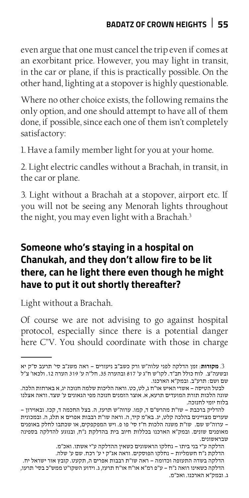even argue that one must cancel the trip even if comes at an exorbitant price. However, you may light in transit, in the car or plane, if this is practically possible. On the other hand, lighting at a stopover is highly questionable.

Where no other choice exists, the following remains the only option, and one should attempt to have all of them done, if possible, since each one of them isn't completely satisfactory:

1. Have a family member light for you at your home.

2. Light electric candles without a Brachah, in transit, in the car or plane.

3. Light without a Brachah at a stopover, airport etc. If you will not be seeing any Menorah lights throughout the night, you may even light with a Brachah.<sup>3</sup>

#### **Someone who's staying in a hospital on Chanukah, and they don't allow fire to be lit there, can he light there even though he might have to put it out shortly thereafter?**

Light without a Brachah.

Of course we are not advising to go against hospital protocol, especially since there is a potential danger here C"V. You should coordinate with those in charge

הדלקה ע״י בני ביתו - נחלקו הראשונים כשאין ההדלקה ע״י אשתו. ואכ״מ. הדלקת נ״ח חשמליות - נחלקו הפוסקים. וראה אג״ק י ע׳ רכח. שם ע׳ שלה. הדלקה בשדה התעופה וכדומה - ראה שו״ת רבבות אפרים ה, תקעט. קובץ אור ישראל יח. הדלקה כשאינו רואה נ״ח - ע״פ רמ״א או״ח או״ח תרעז, ג. וידוע השקו״ט ממש״כ בסי׳ תרעו, ג. ובמק״א הארכנו. ואכ״מ.

<sup>.3</sup> **מקורות**: זמן הדלקה לפני עלוה״ש ורק כשב״ב ניעורים - ראה משנ״ב סי' תרעב ס״ק יא ובשעה״צ. לוח כולל חב״ד. לקו״ש ח״ג ע׳ 817 ובהערה .35 חל״ה ע׳ 319 הערה .12 ולכאו׳ צ״ל שם ושם: תרע״ב. ובמק״א הארכנו.

לבטל הטיסה - אשרי האיש או״ח ג, לט, כט. וראה הליכות שלמה חנוכה יג, א בארחות הלכה. שונה הלכות תורת המועדים תרעא, א. אוצר הזמנים חנוכה מפי הגאונים ע׳ שצד. וראה אצלנו בלוח יומי לחנוכה.

להדליק ברכבת - שו״ת מהרש״ם ד, קמו. ערוה״ש תרעז, ה. בצל החכמה ד, קכז. ובאוירון - שערים מצויינים בהלכה קלט, יג. בא״מ קיד, ה. וראה שו״ת רבבות אפרים א תלג, ה. ובמכונית - ערוה״ש שם. שו״ת משנה הלכות ח״ז סי' פו פ. ויש המפקפקים, או שכתבו לחלק באופנים מאופנים שונים. ובמק״א הארכנו בכללות חיוב בית בהדלקת נ״ח, ובנוגע להדלקה בספינה שבראשונים.